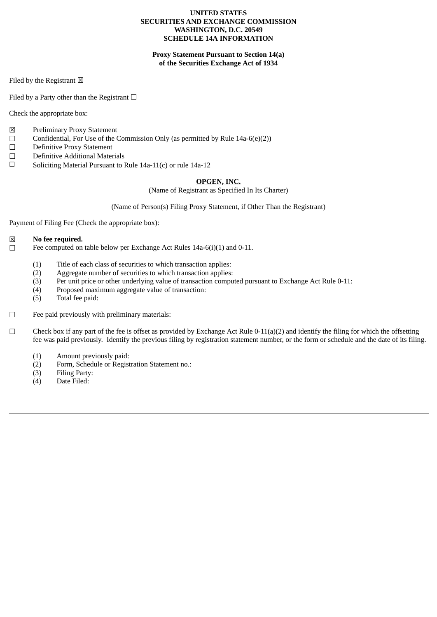## **UNITED STATES SECURITIES AND EXCHANGE COMMISSION WASHINGTON, D.C. 20549 SCHEDULE 14A INFORMATION**

# **Proxy Statement Pursuant to Section 14(a) of the Securities Exchange Act of 1934**

Filed by the Registrant  $\boxtimes$ 

Filed by a Party other than the Registrant  $\Box$ 

Check the appropriate box:

- ☒ Preliminary Proxy Statement
- $\Box$  Confidential, For Use of the Commission Only (as permitted by Rule 14a-6(e)(2))
- ☐ Definitive Proxy Statement
- $\Box$  Definitive Additional Materials<br> $\Box$  Soliciting Material Pursuant to 1
- Soliciting Material Pursuant to Rule 14a-11(c) or rule 14a-12

# **OPGEN, INC.**

(Name of Registrant as Specified In Its Charter)

# (Name of Person(s) Filing Proxy Statement, if Other Than the Registrant)

Payment of Filing Fee (Check the appropriate box):

# ☒ **No fee required.**

Fee computed on table below per Exchange Act Rules 14a-6(i)(1) and 0-11.

- (1) Title of each class of securities to which transaction applies:
- (2) Aggregate number of securities to which transaction applies:
- (3) Per unit price or other underlying value of transaction computed pursuant to Exchange Act Rule 0-11:
- (4) Proposed maximum aggregate value of transaction:
- (5) Total fee paid:
- $□$  Fee paid previously with preliminary materials:
- $\Box$  Check box if any part of the fee is offset as provided by Exchange Act Rule 0-11(a)(2) and identify the filing for which the offsetting fee was paid previously. Identify the previous filing by registration statement number, or the form or schedule and the date of its filing.
	- (1) Amount previously paid:
	- (2) Form, Schedule or Registration Statement no.:
	- (3) Filing Party:
	- (4) Date Filed: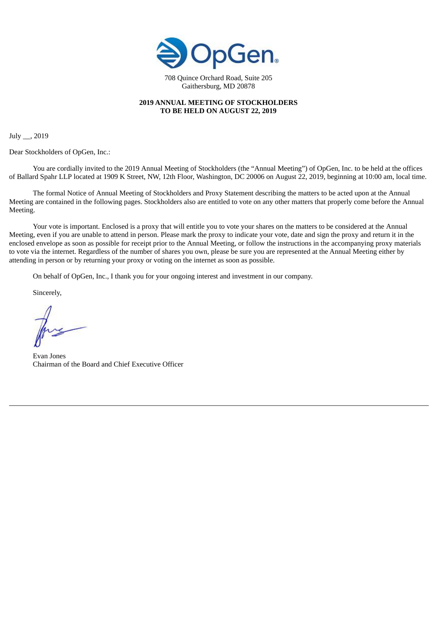

708 Quince Orchard Road, Suite 205 Gaithersburg, MD 20878

# **2019 ANNUAL MEETING OF STOCKHOLDERS TO BE HELD ON AUGUST 22, 2019**

July \_\_, 2019

Dear Stockholders of OpGen, Inc.:

You are cordially invited to the 2019 Annual Meeting of Stockholders (the "Annual Meeting") of OpGen, Inc. to be held at the offices of Ballard Spahr LLP located at 1909 K Street, NW, 12th Floor, Washington, DC 20006 on August 22, 2019, beginning at 10:00 am, local time.

The formal Notice of Annual Meeting of Stockholders and Proxy Statement describing the matters to be acted upon at the Annual Meeting are contained in the following pages. Stockholders also are entitled to vote on any other matters that properly come before the Annual Meeting.

Your vote is important. Enclosed is a proxy that will entitle you to vote your shares on the matters to be considered at the Annual Meeting, even if you are unable to attend in person. Please mark the proxy to indicate your vote, date and sign the proxy and return it in the enclosed envelope as soon as possible for receipt prior to the Annual Meeting, or follow the instructions in the accompanying proxy materials to vote via the internet. Regardless of the number of shares you own, please be sure you are represented at the Annual Meeting either by attending in person or by returning your proxy or voting on the internet as soon as possible.

On behalf of OpGen, Inc., I thank you for your ongoing interest and investment in our company.

Sincerely,

Evan Jones Chairman of the Board and Chief Executive Officer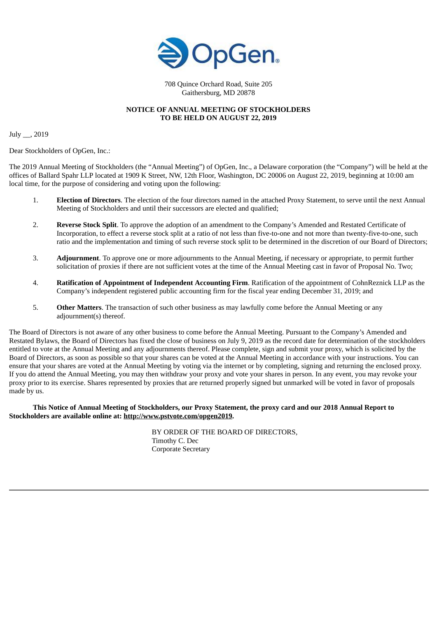

708 Quince Orchard Road, Suite 205 Gaithersburg, MD 20878

# **NOTICE OF ANNUAL MEETING OF STOCKHOLDERS TO BE HELD ON AUGUST 22, 2019**

July \_\_, 2019

Dear Stockholders of OpGen, Inc.:

The 2019 Annual Meeting of Stockholders (the "Annual Meeting") of OpGen, Inc., a Delaware corporation (the "Company") will be held at the offices of Ballard Spahr LLP located at 1909 K Street, NW, 12th Floor, Washington, DC 20006 on August 22, 2019, beginning at 10:00 am local time, for the purpose of considering and voting upon the following:

- 1. **Election of Directors**. The election of the four directors named in the attached Proxy Statement, to serve until the next Annual Meeting of Stockholders and until their successors are elected and qualified;
- 2. **Reverse Stock Split**. To approve the adoption of an amendment to the Company's Amended and Restated Certificate of Incorporation, to effect a reverse stock split at a ratio of not less than five-to-one and not more than twenty-five-to-one, such ratio and the implementation and timing of such reverse stock split to be determined in the discretion of our Board of Directors;
- 3. **Adjournment**. To approve one or more adjournments to the Annual Meeting, if necessary or appropriate, to permit further solicitation of proxies if there are not sufficient votes at the time of the Annual Meeting cast in favor of Proposal No. Two;
- 4. **Ratification of Appointment of Independent Accounting Firm**. Ratification of the appointment of CohnReznick LLP as the Company's independent registered public accounting firm for the fiscal year ending December 31, 2019; and
- 5. **Other Matters**. The transaction of such other business as may lawfully come before the Annual Meeting or any adjournment(s) thereof.

The Board of Directors is not aware of any other business to come before the Annual Meeting. Pursuant to the Company's Amended and Restated Bylaws, the Board of Directors has fixed the close of business on July 9, 2019 as the record date for determination of the stockholders entitled to vote at the Annual Meeting and any adjournments thereof. Please complete, sign and submit your proxy, which is solicited by the Board of Directors, as soon as possible so that your shares can be voted at the Annual Meeting in accordance with your instructions. You can ensure that your shares are voted at the Annual Meeting by voting via the internet or by completing, signing and returning the enclosed proxy. If you do attend the Annual Meeting, you may then withdraw your proxy and vote your shares in person. In any event, you may revoke your proxy prior to its exercise. Shares represented by proxies that are returned properly signed but unmarked will be voted in favor of proposals made by us.

This Notice of Annual Meeting of Stockholders, our Proxy Statement, the proxy card and our 2018 Annual Report to **Stockholders are available online at: http://www.pstvote.com/opgen2019.**

> BY ORDER OF THE BOARD OF DIRECTORS, Timothy C. Dec Corporate Secretary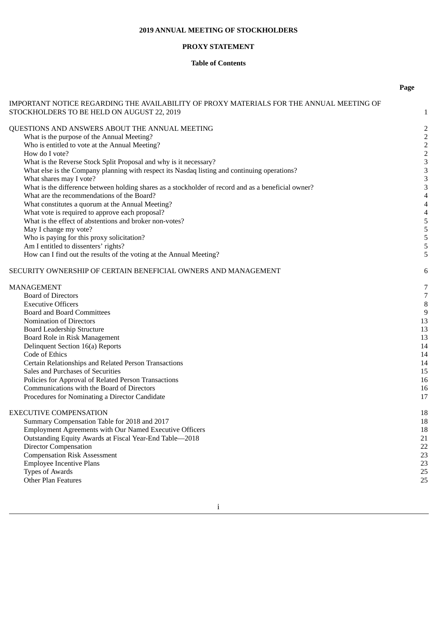# **2019 ANNUAL MEETING OF STOCKHOLDERS**

# **PROXY STATEMENT**

# **Table of Contents**

**Page**

|                                                                                                     | rage                    |
|-----------------------------------------------------------------------------------------------------|-------------------------|
| IMPORTANT NOTICE REGARDING THE AVAILABILITY OF PROXY MATERIALS FOR THE ANNUAL MEETING OF            |                         |
| STOCKHOLDERS TO BE HELD ON AUGUST 22, 2019                                                          | $\mathbf{1}$            |
|                                                                                                     |                         |
| QUESTIONS AND ANSWERS ABOUT THE ANNUAL MEETING                                                      | 2                       |
| What is the purpose of the Annual Meeting?                                                          | $\overline{\mathbf{c}}$ |
| Who is entitled to vote at the Annual Meeting?                                                      | $\overline{c}$          |
| How do I vote?                                                                                      | $\frac{2}{3}$           |
| What is the Reverse Stock Split Proposal and why is it necessary?                                   |                         |
| What else is the Company planning with respect its Nasdaq listing and continuing operations?        | 3                       |
| What shares may I vote?                                                                             | 3                       |
| What is the difference between holding shares as a stockholder of record and as a beneficial owner? | 3                       |
| What are the recommendations of the Board?                                                          | 4                       |
| What constitutes a quorum at the Annual Meeting?                                                    | 4                       |
| What vote is required to approve each proposal?                                                     | 4                       |
| What is the effect of abstentions and broker non-votes?                                             | 5                       |
| May I change my vote?                                                                               | 5                       |
| Who is paying for this proxy solicitation?                                                          | 5                       |
| Am I entitled to dissenters' rights?                                                                | 5                       |
| How can I find out the results of the voting at the Annual Meeting?                                 | 5                       |
| SECURITY OWNERSHIP OF CERTAIN BENEFICIAL OWNERS AND MANAGEMENT                                      | 6                       |
| MANAGEMENT                                                                                          | 7                       |
| <b>Board of Directors</b>                                                                           | $\sqrt{7}$              |
| <b>Executive Officers</b>                                                                           | 8                       |
| <b>Board and Board Committees</b>                                                                   | $9\,$                   |
| Nomination of Directors                                                                             | 13                      |
| <b>Board Leadership Structure</b>                                                                   | 13                      |
| Board Role in Risk Management                                                                       | 13                      |
| Delinquent Section 16(a) Reports                                                                    | 14                      |
| Code of Ethics                                                                                      | 14                      |
| Certain Relationships and Related Person Transactions                                               | 14                      |
| Sales and Purchases of Securities                                                                   | 15                      |
| Policies for Approval of Related Person Transactions                                                | 16                      |
| Communications with the Board of Directors                                                          | 16                      |
| Procedures for Nominating a Director Candidate                                                      | 17                      |
| EXECUTIVE COMPENSATION                                                                              | 18                      |
| Summary Compensation Table for 2018 and 2017                                                        | 18                      |
| Employment Agreements with Our Named Executive Officers                                             | 18                      |
| Outstanding Equity Awards at Fiscal Year-End Table-2018                                             | 21                      |
| <b>Director Compensation</b>                                                                        | 22                      |
| <b>Compensation Risk Assessment</b>                                                                 | 23                      |
| <b>Employee Incentive Plans</b>                                                                     | 23                      |
| Types of Awards                                                                                     | 25                      |
| Other Plan Features                                                                                 | 25                      |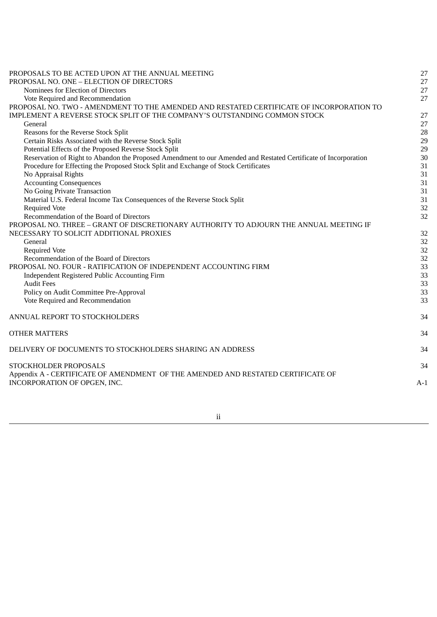| PROPOSALS TO BE ACTED UPON AT THE ANNUAL MEETING                                                                | 27    |
|-----------------------------------------------------------------------------------------------------------------|-------|
| PROPOSAL NO. ONE - ELECTION OF DIRECTORS                                                                        | 27    |
| Nominees for Election of Directors                                                                              | 27    |
| Vote Required and Recommendation                                                                                | 27    |
| PROPOSAL NO. TWO - AMENDMENT TO THE AMENDED AND RESTATED CERTIFICATE OF INCORPORATION TO                        |       |
| IMPLEMENT A REVERSE STOCK SPLIT OF THE COMPANY'S OUTSTANDING COMMON STOCK                                       | 27    |
| General                                                                                                         | 27    |
| Reasons for the Reverse Stock Split                                                                             | 28    |
| Certain Risks Associated with the Reverse Stock Split                                                           | 29    |
| Potential Effects of the Proposed Reverse Stock Split                                                           | 29    |
| Reservation of Right to Abandon the Proposed Amendment to our Amended and Restated Certificate of Incorporation | 30    |
| Procedure for Effecting the Proposed Stock Split and Exchange of Stock Certificates                             | 31    |
| No Appraisal Rights                                                                                             | 31    |
| <b>Accounting Consequences</b>                                                                                  | 31    |
| No Going Private Transaction                                                                                    | 31    |
| Material U.S. Federal Income Tax Consequences of the Reverse Stock Split                                        | 31    |
| <b>Required Vote</b>                                                                                            | 32    |
| Recommendation of the Board of Directors                                                                        | 32    |
| PROPOSAL NO. THREE - GRANT OF DISCRETIONARY AUTHORITY TO ADJOURN THE ANNUAL MEETING IF                          |       |
| NECESSARY TO SOLICIT ADDITIONAL PROXIES                                                                         | 32    |
| General                                                                                                         | 32    |
| <b>Required Vote</b>                                                                                            | 32    |
| Recommendation of the Board of Directors                                                                        | 32    |
| PROPOSAL NO. FOUR - RATIFICATION OF INDEPENDENT ACCOUNTING FIRM                                                 | 33    |
| Independent Registered Public Accounting Firm                                                                   | 33    |
| <b>Audit Fees</b>                                                                                               | 33    |
| Policy on Audit Committee Pre-Approval                                                                          | 33    |
| Vote Required and Recommendation                                                                                | 33    |
| ANNUAL REPORT TO STOCKHOLDERS                                                                                   | 34    |
| <b>OTHER MATTERS</b>                                                                                            | 34    |
| DELIVERY OF DOCUMENTS TO STOCKHOLDERS SHARING AN ADDRESS                                                        | 34    |
| STOCKHOLDER PROPOSALS                                                                                           | 34    |
| Appendix A - CERTIFICATE OF AMENDMENT OF THE AMENDED AND RESTATED CERTIFICATE OF                                |       |
| INCORPORATION OF OPGEN, INC.                                                                                    | $A-1$ |

ii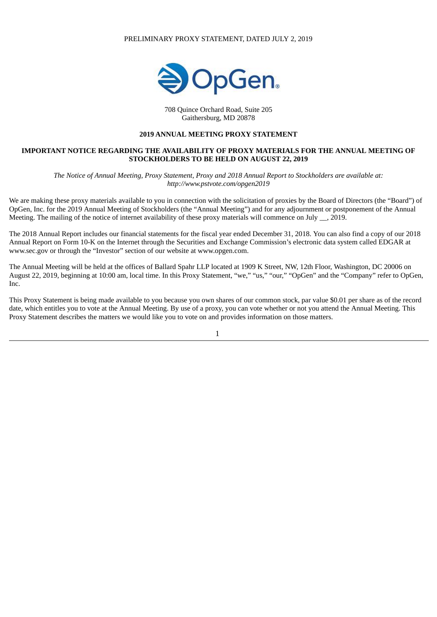#### PRELIMINARY PROXY STATEMENT, DATED JULY 2, 2019



708 Quince Orchard Road, Suite 205 Gaithersburg, MD 20878

# **2019 ANNUAL MEETING PROXY STATEMENT**

## **IMPORTANT NOTICE REGARDING THE AVAILABILITY OF PROXY MATERIALS FOR THE ANNUAL MEETING OF STOCKHOLDERS TO BE HELD ON AUGUST 22, 2019**

The Notice of Annual Meeting, Proxy Statement, Proxy and 2018 Annual Report to Stockholders are available at: *http://www.pstvote.com/opgen2019*

We are making these proxy materials available to you in connection with the solicitation of proxies by the Board of Directors (the "Board") of OpGen, Inc. for the 2019 Annual Meeting of Stockholders (the "Annual Meeting") and for any adjournment or postponement of the Annual Meeting. The mailing of the notice of internet availability of these proxy materials will commence on July \_\_, 2019.

The 2018 Annual Report includes our financial statements for the fiscal year ended December 31, 2018. You can also find a copy of our 2018 Annual Report on Form 10-K on the Internet through the Securities and Exchange Commission's electronic data system called EDGAR at www.sec.gov or through the "Investor" section of our website at www.opgen.com.

The Annual Meeting will be held at the offices of Ballard Spahr LLP located at 1909 K Street, NW, 12th Floor, Washington, DC 20006 on August 22, 2019, beginning at 10:00 am, local time. In this Proxy Statement, "we," "us," "our," "OpGen" and the "Company" refer to OpGen, Inc.

This Proxy Statement is being made available to you because you own shares of our common stock, par value \$0.01 per share as of the record date, which entitles you to vote at the Annual Meeting. By use of a proxy, you can vote whether or not you attend the Annual Meeting. This Proxy Statement describes the matters we would like you to vote on and provides information on those matters.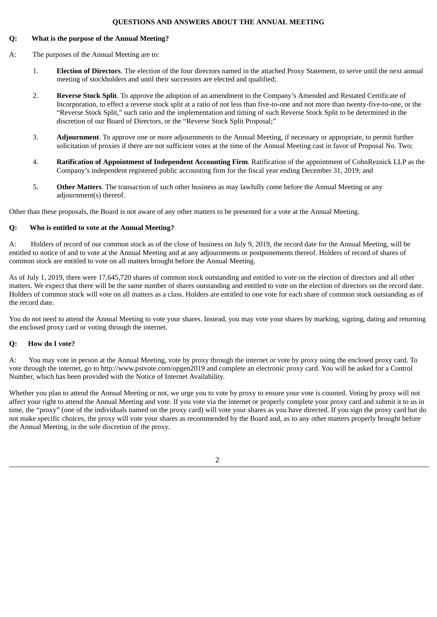## **QUESTIONS AND ANSWERS ABOUT THE ANNUAL MEETING**

# **Q: What is the purpose of the Annual Meeting?**

- A: The purposes of the Annual Meeting are to:
	- 1. **Election of Directors**. The election of the four directors named in the attached Proxy Statement, to serve until the next annual meeting of stockholders and until their successors are elected and qualified;
	- 2. **Reverse Stock Split**. To approve the adoption of an amendment to the Company's Amended and Restated Certificate of Incorporation, to effect a reverse stock split at a ratio of not less than five-to-one and not more than twenty-five-to-one, or the "Reverse Stock Split," such ratio and the implementation and timing of such Reverse Stock Split to be determined in the discretion of our Board of Directors, or the "Reverse Stock Split Proposal;"
	- 3. **Adjournment**. To approve one or more adjournments to the Annual Meeting, if necessary or appropriate, to permit further solicitation of proxies if there are not sufficient votes at the time of the Annual Meeting cast in favor of Proposal No. Two;
	- 4. **Ratification of Appointment of Independent Accounting Firm**. Ratification of the appointment of CohnReznick LLP as the Company's independent registered public accounting firm for the fiscal year ending December 31, 2019; and
	- 5. **Other Matters**. The transaction of such other business as may lawfully come before the Annual Meeting or any adjournment(s) thereof.

Other than these proposals, the Board is not aware of any other matters to be presented for a vote at the Annual Meeting.

# **Q: Who is entitled to vote at the Annual Meeting?**

A: Holders of record of our common stock as of the close of business on July 9, 2019, the record date for the Annual Meeting, will be entitled to notice of and to vote at the Annual Meeting and at any adjournments or postponements thereof. Holders of record of shares of common stock are entitled to vote on all matters brought before the Annual Meeting.

As of July 1, 2019, there were 17,645,720 shares of common stock outstanding and entitled to vote on the election of directors and all other matters. We expect that there will be the same number of shares outstanding and entitled to vote on the election of directors on the record date. Holders of common stock will vote on all matters as a class. Holders are entitled to one vote for each share of common stock outstanding as of the record date.

You do not need to attend the Annual Meeting to vote your shares. Instead, you may vote your shares by marking, signing, dating and returning the enclosed proxy card or voting through the internet.

# **Q: How do I vote?**

A: You may vote in person at the Annual Meeting, vote by proxy through the internet or vote by proxy using the enclosed proxy card. To vote through the internet, go to http://www.pstvote.com/opgen2019 and complete an electronic proxy card. You will be asked for a Control Number, which has been provided with the Notice of Internet Availability.

Whether you plan to attend the Annual Meeting or not, we urge you to vote by proxy to ensure your vote is counted. Voting by proxy will not affect your right to attend the Annual Meeting and vote. If you vote via the internet or properly complete your proxy card and submit it to us in time, the "proxy" (one of the individuals named on the proxy card) will vote your shares as you have directed. If you sign the proxy card but do not make specific choices, the proxy will vote your shares as recommended by the Board and, as to any other matters properly brought before the Annual Meeting, in the sole discretion of the proxy.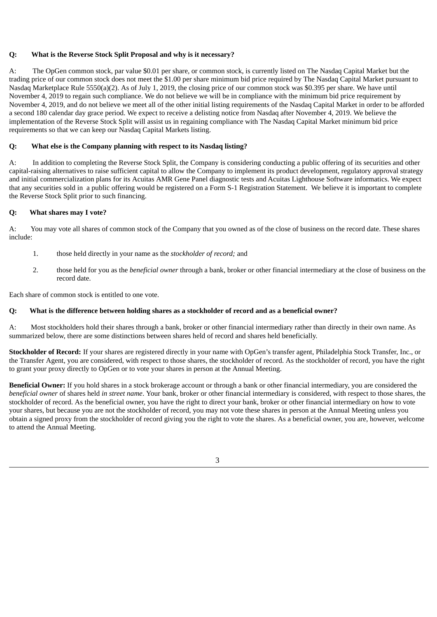# **Q: What is the Reverse Stock Split Proposal and why is it necessary?**

A: The OpGen common stock, par value \$0.01 per share, or common stock, is currently listed on The Nasdaq Capital Market but the trading price of our common stock does not meet the \$1.00 per share minimum bid price required by The Nasdaq Capital Market pursuant to Nasdaq Marketplace Rule 5550(a)(2). As of July 1, 2019, the closing price of our common stock was \$0.395 per share. We have until November 4, 2019 to regain such compliance. We do not believe we will be in compliance with the minimum bid price requirement by November 4, 2019, and do not believe we meet all of the other initial listing requirements of the Nasdaq Capital Market in order to be afforded a second 180 calendar day grace period. We expect to receive a delisting notice from Nasdaq after November 4, 2019. We believe the implementation of the Reverse Stock Split will assist us in regaining compliance with The Nasdaq Capital Market minimum bid price requirements so that we can keep our Nasdaq Capital Markets listing.

## **Q: What else is the Company planning with respect to its Nasdaq listing?**

A: In addition to completing the Reverse Stock Split, the Company is considering conducting a public offering of its securities and other capital-raising alternatives to raise sufficient capital to allow the Company to implement its product development, regulatory approval strategy and initial commercialization plans for its Acuitas AMR Gene Panel diagnostic tests and Acuitas Lighthouse Software informatics. We expect that any securities sold in a public offering would be registered on a Form S-1 Registration Statement. We believe it is important to complete the Reverse Stock Split prior to such financing.

#### **Q: What shares may I vote?**

A: You may vote all shares of common stock of the Company that you owned as of the close of business on the record date. These shares include:

- 1. those held directly in your name as the *stockholder of record;* and
- 2. those held for you as the *beneficial owner* through a bank, broker or other financial intermediary at the close of business on the record date.

Each share of common stock is entitled to one vote.

#### O: What is the difference between holding shares as a stockholder of record and as a beneficial owner?

A: Most stockholders hold their shares through a bank, broker or other financial intermediary rather than directly in their own name. As summarized below, there are some distinctions between shares held of record and shares held beneficially.

**Stockholder of Record:** If your shares are registered directly in your name with OpGen's transfer agent, Philadelphia Stock Transfer, Inc., or the Transfer Agent, you are considered, with respect to those shares, the stockholder of record. As the stockholder of record, you have the right to grant your proxy directly to OpGen or to vote your shares in person at the Annual Meeting.

**Beneficial Owner:** If you hold shares in a stock brokerage account or through a bank or other financial intermediary, you are considered the *beneficial owner* of shares held *in street name*. Your bank, broker or other financial intermediary is considered, with respect to those shares, the stockholder of record. As the beneficial owner, you have the right to direct your bank, broker or other financial intermediary on how to vote your shares, but because you are not the stockholder of record, you may not vote these shares in person at the Annual Meeting unless you obtain a signed proxy from the stockholder of record giving you the right to vote the shares. As a beneficial owner, you are, however, welcome to attend the Annual Meeting.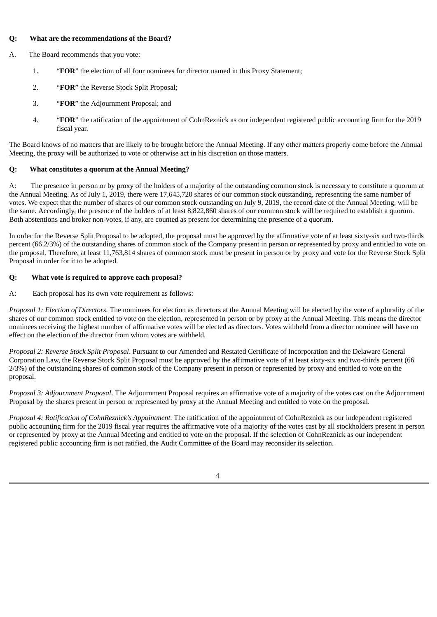# **Q: What are the recommendations of the Board?**

- A. The Board recommends that you vote:
	- 1. "**FOR**" the election of all four nominees for director named in this Proxy Statement;
	- 2. "**FOR**" the Reverse Stock Split Proposal;
	- 3. "**FOR**" the Adjournment Proposal; and
	- 4. "**FOR**" the ratification of the appointment of CohnReznick as our independent registered public accounting firm for the 2019 fiscal year.

The Board knows of no matters that are likely to be brought before the Annual Meeting. If any other matters properly come before the Annual Meeting, the proxy will be authorized to vote or otherwise act in his discretion on those matters.

# **Q: What constitutes a quorum at the Annual Meeting?**

A: The presence in person or by proxy of the holders of a majority of the outstanding common stock is necessary to constitute a quorum at the Annual Meeting. As of July 1, 2019, there were 17,645,720 shares of our common stock outstanding, representing the same number of votes. We expect that the number of shares of our common stock outstanding on July 9, 2019, the record date of the Annual Meeting, will be the same. Accordingly, the presence of the holders of at least 8,822,860 shares of our common stock will be required to establish a quorum. Both abstentions and broker non-votes, if any, are counted as present for determining the presence of a quorum.

In order for the Reverse Split Proposal to be adopted, the proposal must be approved by the affirmative vote of at least sixty-six and two-thirds percent (66 2/3%) of the outstanding shares of common stock of the Company present in person or represented by proxy and entitled to vote on the proposal. Therefore, at least 11,763,814 shares of common stock must be present in person or by proxy and vote for the Reverse Stock Split Proposal in order for it to be adopted.

# **Q: What vote is required to approve each proposal?**

A: Each proposal has its own vote requirement as follows:

*Proposal 1: Election of Directors.* The nominees for election as directors at the Annual Meeting will be elected by the vote of a plurality of the shares of our common stock entitled to vote on the election, represented in person or by proxy at the Annual Meeting. This means the director nominees receiving the highest number of affirmative votes will be elected as directors. Votes withheld from a director nominee will have no effect on the election of the director from whom votes are withheld.

*Proposal 2: Reverse Stock Split Proposal*. Pursuant to our Amended and Restated Certificate of Incorporation and the Delaware General Corporation Law, the Reverse Stock Split Proposal must be approved by the affirmative vote of at least sixty-six and two-thirds percent (66 2/3%) of the outstanding shares of common stock of the Company present in person or represented by proxy and entitled to vote on the proposal.

*Proposal 3: Adjournment Proposal*. The Adjournment Proposal requires an affirmative vote of a majority of the votes cast on the Adjournment Proposal by the shares present in person or represented by proxy at the Annual Meeting and entitled to vote on the proposal.

*Proposal 4: Ratification of CohnReznick's Appointment*. The ratification of the appointment of CohnReznick as our independent registered public accounting firm for the 2019 fiscal year requires the affirmative vote of a majority of the votes cast by all stockholders present in person or represented by proxy at the Annual Meeting and entitled to vote on the proposal. If the selection of CohnReznick as our independent registered public accounting firm is not ratified, the Audit Committee of the Board may reconsider its selection.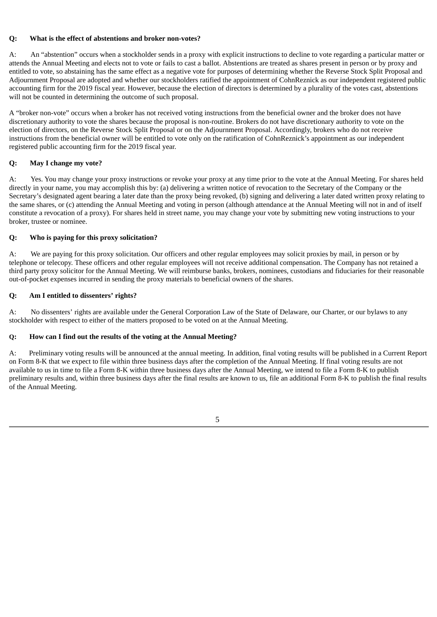# **Q: What is the effect of abstentions and broker non-votes?**

A: An "abstention" occurs when a stockholder sends in a proxy with explicit instructions to decline to vote regarding a particular matter or attends the Annual Meeting and elects not to vote or fails to cast a ballot. Abstentions are treated as shares present in person or by proxy and entitled to vote, so abstaining has the same effect as a negative vote for purposes of determining whether the Reverse Stock Split Proposal and Adjournment Proposal are adopted and whether our stockholders ratified the appointment of CohnReznick as our independent registered public accounting firm for the 2019 fiscal year. However, because the election of directors is determined by a plurality of the votes cast, abstentions will not be counted in determining the outcome of such proposal.

A "broker non-vote" occurs when a broker has not received voting instructions from the beneficial owner and the broker does not have discretionary authority to vote the shares because the proposal is non-routine. Brokers do not have discretionary authority to vote on the election of directors, on the Reverse Stock Split Proposal or on the Adjournment Proposal. Accordingly, brokers who do not receive instructions from the beneficial owner will be entitled to vote only on the ratification of CohnReznick's appointment as our independent registered public accounting firm for the 2019 fiscal year.

# **Q: May I change my vote?**

A: Yes. You may change your proxy instructions or revoke your proxy at any time prior to the vote at the Annual Meeting. For shares held directly in your name, you may accomplish this by: (a) delivering a written notice of revocation to the Secretary of the Company or the Secretary's designated agent bearing a later date than the proxy being revoked, (b) signing and delivering a later dated written proxy relating to the same shares, or (c) attending the Annual Meeting and voting in person (although attendance at the Annual Meeting will not in and of itself constitute a revocation of a proxy). For shares held in street name, you may change your vote by submitting new voting instructions to your broker, trustee or nominee.

# **Q: Who is paying for this proxy solicitation?**

A: We are paying for this proxy solicitation. Our officers and other regular employees may solicit proxies by mail, in person or by telephone or telecopy. These officers and other regular employees will not receive additional compensation. The Company has not retained a third party proxy solicitor for the Annual Meeting. We will reimburse banks, brokers, nominees, custodians and fiduciaries for their reasonable out-of-pocket expenses incurred in sending the proxy materials to beneficial owners of the shares.

# **Q: Am I entitled to dissenters' rights?**

A: No dissenters' rights are available under the General Corporation Law of the State of Delaware, our Charter, or our bylaws to any stockholder with respect to either of the matters proposed to be voted on at the Annual Meeting.

# **Q: How can I find out the results of the voting at the Annual Meeting?**

A: Preliminary voting results will be announced at the annual meeting. In addition, final voting results will be published in a Current Report on Form 8-K that we expect to file within three business days after the completion of the Annual Meeting. If final voting results are not available to us in time to file a Form 8-K within three business days after the Annual Meeting, we intend to file a Form 8-K to publish preliminary results and, within three business days after the final results are known to us, file an additional Form 8-K to publish the final results of the Annual Meeting.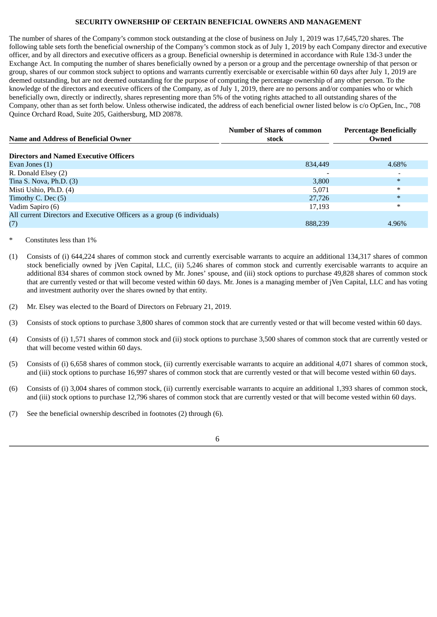# **SECURITY OWNERSHIP OF CERTAIN BENEFICIAL OWNERS AND MANAGEMENT**

The number of shares of the Company's common stock outstanding at the close of business on July 1, 2019 was 17,645,720 shares. The following table sets forth the beneficial ownership of the Company's common stock as of July 1, 2019 by each Company director and executive officer, and by all directors and executive officers as a group. Beneficial ownership is determined in accordance with Rule 13d-3 under the Exchange Act. In computing the number of shares beneficially owned by a person or a group and the percentage ownership of that person or group, shares of our common stock subject to options and warrants currently exercisable or exercisable within 60 days after July 1, 2019 are deemed outstanding, but are not deemed outstanding for the purpose of computing the percentage ownership of any other person. To the knowledge of the directors and executive officers of the Company, as of July 1, 2019, there are no persons and/or companies who or which beneficially own, directly or indirectly, shares representing more than 5% of the voting rights attached to all outstanding shares of the Company, other than as set forth below. Unless otherwise indicated, the address of each beneficial owner listed below is c/o OpGen, Inc., 708 Quince Orchard Road, Suite 205, Gaithersburg, MD 20878.

| <b>Name and Address of Beneficial Owner</b>                             | <b>Number of Shares of common</b><br>stock | <b>Percentage Beneficially</b><br>Owned |  |  |
|-------------------------------------------------------------------------|--------------------------------------------|-----------------------------------------|--|--|
| <b>Directors and Named Executive Officers</b>                           |                                            |                                         |  |  |
| Evan Jones (1)                                                          | 834,449                                    | 4.68%                                   |  |  |
| R. Donald Elsey (2)                                                     |                                            |                                         |  |  |
| Tina S. Nova, $Ph.D.$ (3)                                               | 3,800                                      | $\ast$                                  |  |  |
| Misti Ushio, Ph.D. (4)                                                  | 5,071                                      | $\ast$                                  |  |  |
| Timothy C. Dec (5)                                                      | 27,726                                     | $\ast$                                  |  |  |
| Vadim Sapiro (6)                                                        | 17,193                                     | $\ast$                                  |  |  |
| All current Directors and Executive Officers as a group (6 individuals) |                                            |                                         |  |  |
| (7)                                                                     | 888,239                                    | 4.96%                                   |  |  |

#### Constitutes less than 1%

- (1) Consists of (i) 644,224 shares of common stock and currently exercisable warrants to acquire an additional 134,317 shares of common stock beneficially owned by jVen Capital, LLC, (ii) 5,246 shares of common stock and currently exercisable warrants to acquire an additional 834 shares of common stock owned by Mr. Jones' spouse, and (iii) stock options to purchase 49,828 shares of common stock that are currently vested or that will become vested within 60 days. Mr. Jones is a managing member of jVen Capital, LLC and has voting and investment authority over the shares owned by that entity.
- (2) Mr. Elsey was elected to the Board of Directors on February 21, 2019.
- (3) Consists of stock options to purchase 3,800 shares of common stock that are currently vested or that will become vested within 60 days.
- (4) Consists of (i) 1,571 shares of common stock and (ii) stock options to purchase 3,500 shares of common stock that are currently vested or that will become vested within 60 days.
- (5) Consists of (i) 6,658 shares of common stock, (ii) currently exercisable warrants to acquire an additional 4,071 shares of common stock, and (iii) stock options to purchase 16,997 shares of common stock that are currently vested or that will become vested within 60 days.
- (6) Consists of (i) 3,004 shares of common stock, (ii) currently exercisable warrants to acquire an additional 1,393 shares of common stock, and (iii) stock options to purchase 12,796 shares of common stock that are currently vested or that will become vested within 60 days.
- (7) See the beneficial ownership described in footnotes (2) through (6).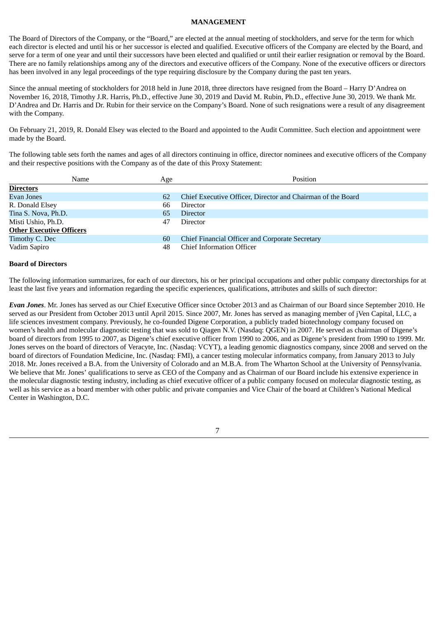#### **MANAGEMENT**

The Board of Directors of the Company, or the "Board," are elected at the annual meeting of stockholders, and serve for the term for which each director is elected and until his or her successor is elected and qualified. Executive officers of the Company are elected by the Board, and serve for a term of one year and until their successors have been elected and qualified or until their earlier resignation or removal by the Board. There are no family relationships among any of the directors and executive officers of the Company. None of the executive officers or directors has been involved in any legal proceedings of the type requiring disclosure by the Company during the past ten years.

Since the annual meeting of stockholders for 2018 held in June 2018, three directors have resigned from the Board – Harry D'Andrea on November 16, 2018, Timothy J.R. Harris, Ph.D., effective June 30, 2019 and David M. Rubin, Ph.D., effective June 30, 2019. We thank Mr. D'Andrea and Dr. Harris and Dr. Rubin for their service on the Company's Board. None of such resignations were a result of any disagreement with the Company.

On February 21, 2019, R. Donald Elsey was elected to the Board and appointed to the Audit Committee. Such election and appointment were made by the Board.

The following table sets forth the names and ages of all directors continuing in office, director nominees and executive officers of the Company and their respective positions with the Company as of the date of this Proxy Statement:

| Name                            | Age | Position                                                    |
|---------------------------------|-----|-------------------------------------------------------------|
| <b>Directors</b>                |     |                                                             |
| Evan Jones                      | 62  | Chief Executive Officer, Director and Chairman of the Board |
| R. Donald Elsey                 | 66  | Director                                                    |
| Tina S. Nova, Ph.D.             | 65  | Director                                                    |
| Misti Ushio, Ph.D.              | 47  | <b>Director</b>                                             |
| <b>Other Executive Officers</b> |     |                                                             |
| Timothy C. Dec                  | 60  | Chief Financial Officer and Corporate Secretary             |
| Vadim Sapiro                    | 48  | <b>Chief Information Officer</b>                            |

# **Board of Directors**

The following information summarizes, for each of our directors, his or her principal occupations and other public company directorships for at least the last five years and information regarding the specific experiences, qualifications, attributes and skills of such director:

*Evan Jones*. Mr. Jones has served as our Chief Executive Officer since October 2013 and as Chairman of our Board since September 2010. He served as our President from October 2013 until April 2015. Since 2007, Mr. Jones has served as managing member of jVen Capital, LLC, a life sciences investment company. Previously, he co-founded Digene Corporation, a publicly traded biotechnology company focused on women's health and molecular diagnostic testing that was sold to Qiagen N.V. (Nasdaq: QGEN) in 2007. He served as chairman of Digene's board of directors from 1995 to 2007, as Digene's chief executive officer from 1990 to 2006, and as Digene's president from 1990 to 1999. Mr. Jones serves on the board of directors of Veracyte, Inc. (Nasdaq: VCYT), a leading genomic diagnostics company, since 2008 and served on the board of directors of Foundation Medicine, Inc. (Nasdaq: FMI), a cancer testing molecular informatics company, from January 2013 to July 2018. Mr. Jones received a B.A. from the University of Colorado and an M.B.A. from The Wharton School at the University of Pennsylvania. We believe that Mr. Jones' qualifications to serve as CEO of the Company and as Chairman of our Board include his extensive experience in the molecular diagnostic testing industry, including as chief executive officer of a public company focused on molecular diagnostic testing, as well as his service as a board member with other public and private companies and Vice Chair of the board at Children's National Medical Center in Washington, D.C.

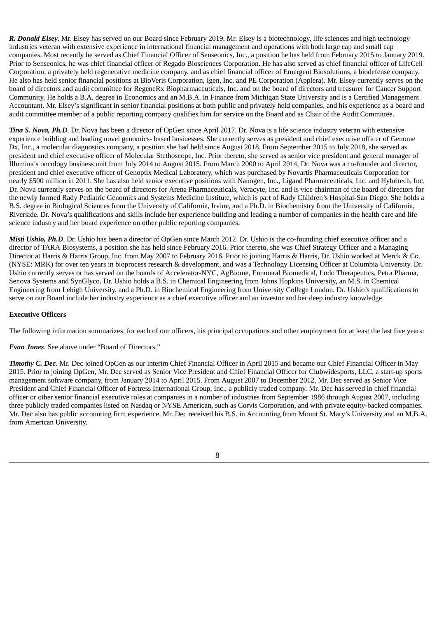*R. Donald Elsey*. Mr. Elsey has served on our Board since February 2019. Mr. Elsey is a biotechnology, life sciences and high technology industries veteran with extensive experience in international financial management and operations with both large cap and small cap companies. Most recently he served as Chief Financial Officer of Senseonics, Inc., a position he has held from February 2015 to January 2019. Prior to Senseonics, he was chief financial officer of Regado Biosciences Corporation. He has also served as chief financial officer of LifeCell Corporation, a privately held regenerative medicine company, and as chief financial officer of Emergent Biosolutions, a biodefense company. He also has held senior financial positions at BioVeris Corporation, Igen, Inc. and PE Corporation (Applera). Mr. Elsey currently serves on the board of directors and audit committee for RegeneRx Biopharmaceuticals, Inc. and on the board of directors and treasurer for Cancer Support Community. He holds a B.A. degree in Economics and an M.B.A. in Finance from Michigan State University and is a Certified Management Accountant. Mr. Elsey's significant in senior financial positions at both public and privately held companies, and his experience as a board and audit committee member of a public reporting company qualifies him for service on the Board and as Chair of the Audit Committee.

*Tina S. Nova, Ph.D*. Dr. Nova has been a director of OpGen since April 2017. Dr. Nova is a life science industry veteran with extensive experience building and leading novel genomics- based businesses. She currently serves as president and chief executive officer of Genome Dx, Inc., a molecular diagnostics company, a position she had held since August 2018. From September 2015 to July 2018, she served as president and chief executive officer of Molecular Stethoscope, Inc. Prior thereto, she served as senior vice president and general manager of Illumina's oncology business unit from July 2014 to August 2015. From March 2000 to April 2014, Dr. Nova was a co-founder and director, president and chief executive officer of Genoptix Medical Laboratory, which was purchased by Novartis Pharmaceuticals Corporation for nearly \$500 million in 2011. She has also held senior executive positions with Nanogen, Inc., Ligand Pharmaceuticals, Inc. and Hybritech, Inc. Dr. Nova currently serves on the board of directors for Arena Pharmaceuticals, Veracyte, Inc. and is vice chairman of the board of directors for the newly formed Rady Pediatric Genomics and Systems Medicine Institute, which is part of Rady Children's Hospital-San Diego. She holds a B.S. degree in Biological Sciences from the University of California, Irvine, and a Ph.D. in Biochemistry from the University of California, Riverside. Dr. Nova's qualifications and skills include her experience building and leading a number of companies in the health care and life science industry and her board experience on other public reporting companies.

*Misti Ushio, Ph.D*. Dr. Ushio has been a director of OpGen since March 2012. Dr. Ushio is the co-founding chief executive officer and a director of TARA Biosystems, a position she has held since February 2016. Prior thereto, she was Chief Strategy Officer and a Managing Director at Harris & Harris Group, Inc. from May 2007 to February 2016. Prior to joining Harris & Harris, Dr. Ushio worked at Merck & Co. (NYSE: MRK) for over ten years in bioprocess research & development, and was a Technology Licensing Officer at Columbia University. Dr. Ushio currently serves or has served on the boards of Accelerator-NYC, AgBiome, Enumeral Biomedical, Lodo Therapeutics, Petra Pharma, Senova Systems and SynGlyco. Dr. Ushio holds a B.S. in Chemical Engineering from Johns Hopkins University, an M.S. in Chemical Engineering from Lehigh University, and a Ph.D. in Biochemical Engineering from University College London. Dr. Ushio's qualifications to serve on our Board include her industry experience as a chief executive officer and an investor and her deep industry knowledge.

# **Executive Officers**

The following information summarizes, for each of our officers, his principal occupations and other employment for at least the last five years:

*Evan Jones*. See above under "Board of Directors."

*Timothy C. Dec*. Mr. Dec joined OpGen as our interim Chief Financial Officer in April 2015 and became our Chief Financial Officer in May 2015. Prior to joining OpGen, Mr. Dec served as Senior Vice President and Chief Financial Officer for Clubwidesports, LLC, a start-up sports management software company, from January 2014 to April 2015. From August 2007 to December 2012, Mr. Dec served as Senior Vice President and Chief Financial Officer of Fortress International Group, Inc., a publicly traded company. Mr. Dec has served in chief financial officer or other senior financial executive roles at companies in a number of industries from September 1986 through August 2007, including three publicly traded companies listed on Nasdaq or NYSE American, such as Corvis Corporation, and with private equity-backed companies. Mr. Dec also has public accounting firm experience. Mr. Dec received his B.S. in Accounting from Mount St. Mary's University and an M.B.A. from American University.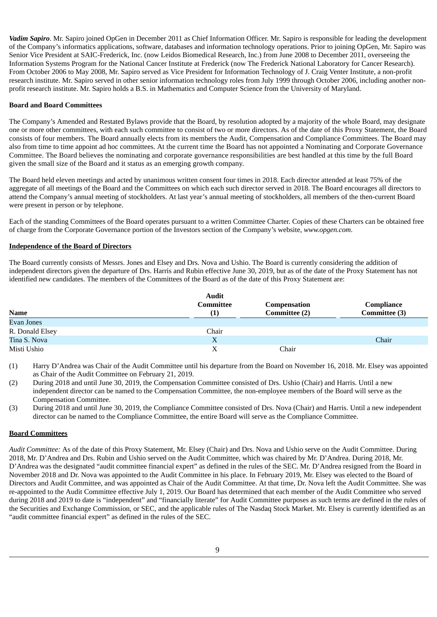*Vadim Sapiro*. Mr. Sapiro joined OpGen in December 2011 as Chief Information Officer. Mr. Sapiro is responsible for leading the development of the Company's informatics applications, software, databases and information technology operations. Prior to joining OpGen, Mr. Sapiro was Senior Vice President at SAIC-Frederick, Inc. (now Leidos Biomedical Research, Inc.) from June 2008 to December 2011, overseeing the Information Systems Program for the National Cancer Institute at Frederick (now The Frederick National Laboratory for Cancer Research). From October 2006 to May 2008, Mr. Sapiro served as Vice President for Information Technology of J. Craig Venter Institute, a non-profit research institute. Mr. Sapiro served in other senior information technology roles from July 1999 through October 2006, including another nonprofit research institute. Mr. Sapiro holds a B.S. in Mathematics and Computer Science from the University of Maryland.

# **Board and Board Committees**

The Company's Amended and Restated Bylaws provide that the Board, by resolution adopted by a majority of the whole Board, may designate one or more other committees, with each such committee to consist of two or more directors. As of the date of this Proxy Statement, the Board consists of four members. The Board annually elects from its members the Audit, Compensation and Compliance Committees. The Board may also from time to time appoint ad hoc committees. At the current time the Board has not appointed a Nominating and Corporate Governance Committee. The Board believes the nominating and corporate governance responsibilities are best handled at this time by the full Board given the small size of the Board and it status as an emerging growth company.

The Board held eleven meetings and acted by unanimous written consent four times in 2018. Each director attended at least 75% of the aggregate of all meetings of the Board and the Committees on which each such director served in 2018. The Board encourages all directors to attend the Company's annual meeting of stockholders. At last year's annual meeting of stockholders, all members of the then-current Board were present in person or by telephone.

Each of the standing Committees of the Board operates pursuant to a written Committee Charter. Copies of these Charters can be obtained free of charge from the Corporate Governance portion of the Investors section of the Company's website, *www.opgen.com*.

#### **Independence of the Board of Directors**

The Board currently consists of Messrs. Jones and Elsey and Drs. Nova and Ushio. The Board is currently considering the addition of independent directors given the departure of Drs. Harris and Rubin effective June 30, 2019, but as of the date of the Proxy Statement has not identified new candidates. The members of the Committees of the Board as of the date of this Proxy Statement are:

|                 | <b>Audit</b>                  |                               |                             |
|-----------------|-------------------------------|-------------------------------|-----------------------------|
| <b>Name</b>     | Committee<br>$\left(1\right)$ | Compensation<br>Committee (2) | Compliance<br>Committee (3) |
| Evan Jones      |                               |                               |                             |
| R. Donald Elsey | Chair                         |                               |                             |
| Tina S. Nova    | X                             |                               | Chair                       |
| Misti Ushio     | X                             | Chair                         |                             |

(1) Harry D'Andrea was Chair of the Audit Committee until his departure from the Board on November 16, 2018. Mr. Elsey was appointed as Chair of the Audit Committee on February 21, 2019.

(2) During 2018 and until June 30, 2019, the Compensation Committee consisted of Drs. Ushio (Chair) and Harris. Until a new independent director can be named to the Compensation Committee, the non-employee members of the Board will serve as the Compensation Committee.

(3) During 2018 and until June 30, 2019, the Compliance Committee consisted of Drs. Nova (Chair) and Harris. Until a new independent director can be named to the Compliance Committee, the entire Board will serve as the Compliance Committee.

#### **Board Committees**

*Audit Committee:* As of the date of this Proxy Statement, Mr. Elsey (Chair) and Drs. Nova and Ushio serve on the Audit Committee. During 2018, Mr. D'Andrea and Drs. Rubin and Ushio served on the Audit Committee, which was chaired by Mr. D'Andrea. During 2018, Mr. D'Andrea was the designated "audit committee financial expert" as defined in the rules of the SEC. Mr. D'Andrea resigned from the Board in November 2018 and Dr. Nova was appointed to the Audit Committee in his place. In February 2019, Mr. Elsey was elected to the Board of Directors and Audit Committee, and was appointed as Chair of the Audit Committee. At that time, Dr. Nova left the Audit Committee. She was re-appointed to the Audit Committee effective July 1, 2019. Our Board has determined that each member of the Audit Committee who served during 2018 and 2019 to date is "independent" and "financially literate" for Audit Committee purposes as such terms are defined in the rules of the Securities and Exchange Commission, or SEC, and the applicable rules of The Nasdaq Stock Market. Mr. Elsey is currently identified as an "audit committee financial expert" as defined in the rules of the SEC.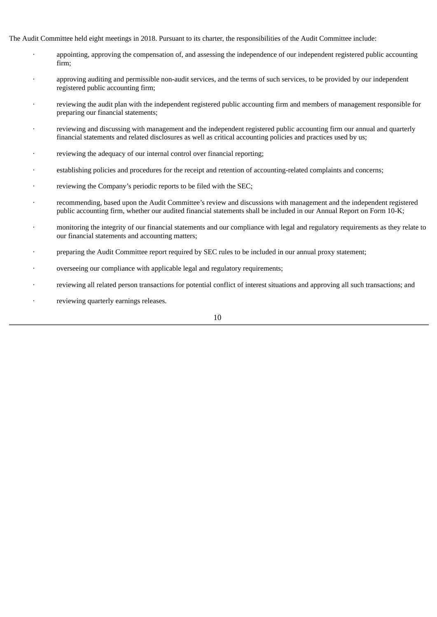The Audit Committee held eight meetings in 2018. Pursuant to its charter, the responsibilities of the Audit Committee include:

- · appointing, approving the compensation of, and assessing the independence of our independent registered public accounting firm;
- · approving auditing and permissible non-audit services, and the terms of such services, to be provided by our independent registered public accounting firm;
- reviewing the audit plan with the independent registered public accounting firm and members of management responsible for preparing our financial statements;
- reviewing and discussing with management and the independent registered public accounting firm our annual and quarterly financial statements and related disclosures as well as critical accounting policies and practices used by us;
- reviewing the adequacy of our internal control over financial reporting;
- establishing policies and procedures for the receipt and retention of accounting-related complaints and concerns;
- reviewing the Company's periodic reports to be filed with the SEC;
- · recommending, based upon the Audit Committee's review and discussions with management and the independent registered public accounting firm, whether our audited financial statements shall be included in our Annual Report on Form 10-K;
- · monitoring the integrity of our financial statements and our compliance with legal and regulatory requirements as they relate to our financial statements and accounting matters;
- preparing the Audit Committee report required by SEC rules to be included in our annual proxy statement;
- overseeing our compliance with applicable legal and regulatory requirements;
- reviewing all related person transactions for potential conflict of interest situations and approving all such transactions; and
- reviewing quarterly earnings releases.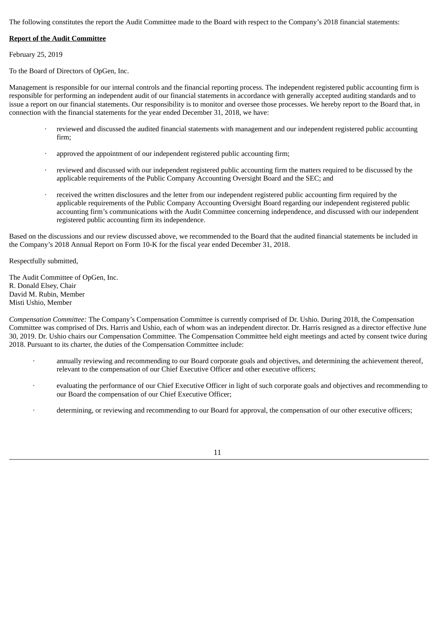The following constitutes the report the Audit Committee made to the Board with respect to the Company's 2018 financial statements:

# **Report of the Audit Committee**

February 25, 2019

To the Board of Directors of OpGen, Inc.

Management is responsible for our internal controls and the financial reporting process. The independent registered public accounting firm is responsible for performing an independent audit of our financial statements in accordance with generally accepted auditing standards and to issue a report on our financial statements. Our responsibility is to monitor and oversee those processes. We hereby report to the Board that, in connection with the financial statements for the year ended December 31, 2018, we have:

- reviewed and discussed the audited financial statements with management and our independent registered public accounting firm;
- approved the appointment of our independent registered public accounting firm;
- reviewed and discussed with our independent registered public accounting firm the matters required to be discussed by the applicable requirements of the Public Company Accounting Oversight Board and the SEC; and
- received the written disclosures and the letter from our independent registered public accounting firm required by the applicable requirements of the Public Company Accounting Oversight Board regarding our independent registered public accounting firm's communications with the Audit Committee concerning independence, and discussed with our independent registered public accounting firm its independence.

Based on the discussions and our review discussed above, we recommended to the Board that the audited financial statements be included in the Company's 2018 Annual Report on Form 10-K for the fiscal year ended December 31, 2018.

Respectfully submitted,

The Audit Committee of OpGen, Inc. R. Donald Elsey, Chair David M. Rubin, Member Misti Ushio, Member

*Compensation Committee:* The Company's Compensation Committee is currently comprised of Dr. Ushio. During 2018, the Compensation Committee was comprised of Drs. Harris and Ushio, each of whom was an independent director. Dr. Harris resigned as a director effective June 30, 2019. Dr. Ushio chairs our Compensation Committee. The Compensation Committee held eight meetings and acted by consent twice during 2018. Pursuant to its charter, the duties of the Compensation Committee include:

- · annually reviewing and recommending to our Board corporate goals and objectives, and determining the achievement thereof, relevant to the compensation of our Chief Executive Officer and other executive officers;
- evaluating the performance of our Chief Executive Officer in light of such corporate goals and objectives and recommending to our Board the compensation of our Chief Executive Officer;
- determining, or reviewing and recommending to our Board for approval, the compensation of our other executive officers;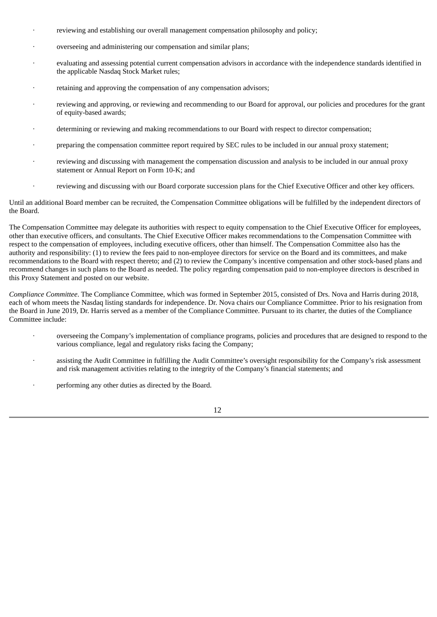- reviewing and establishing our overall management compensation philosophy and policy;
- · overseeing and administering our compensation and similar plans;
- evaluating and assessing potential current compensation advisors in accordance with the independence standards identified in the applicable Nasdaq Stock Market rules;
- retaining and approving the compensation of any compensation advisors:
- reviewing and approving, or reviewing and recommending to our Board for approval, our policies and procedures for the grant of equity-based awards;
- determining or reviewing and making recommendations to our Board with respect to director compensation;
- · preparing the compensation committee report required by SEC rules to be included in our annual proxy statement;
- reviewing and discussing with management the compensation discussion and analysis to be included in our annual proxy statement or Annual Report on Form 10-K; and
- reviewing and discussing with our Board corporate succession plans for the Chief Executive Officer and other key officers.

Until an additional Board member can be recruited, the Compensation Committee obligations will be fulfilled by the independent directors of the Board.

The Compensation Committee may delegate its authorities with respect to equity compensation to the Chief Executive Officer for employees, other than executive officers, and consultants. The Chief Executive Officer makes recommendations to the Compensation Committee with respect to the compensation of employees, including executive officers, other than himself. The Compensation Committee also has the authority and responsibility: (1) to review the fees paid to non-employee directors for service on the Board and its committees, and make recommendations to the Board with respect thereto; and (2) to review the Company's incentive compensation and other stock-based plans and recommend changes in such plans to the Board as needed. The policy regarding compensation paid to non-employee directors is described in this Proxy Statement and posted on our website.

*Compliance Committee*. The Compliance Committee, which was formed in September 2015, consisted of Drs. Nova and Harris during 2018, each of whom meets the Nasdaq listing standards for independence. Dr. Nova chairs our Compliance Committee. Prior to his resignation from the Board in June 2019, Dr. Harris served as a member of the Compliance Committee. Pursuant to its charter, the duties of the Compliance Committee include:

- overseeing the Company's implementation of compliance programs, policies and procedures that are designed to respond to the various compliance, legal and regulatory risks facing the Company;
- assisting the Audit Committee in fulfilling the Audit Committee's oversight responsibility for the Company's risk assessment and risk management activities relating to the integrity of the Company's financial statements; and
- performing any other duties as directed by the Board.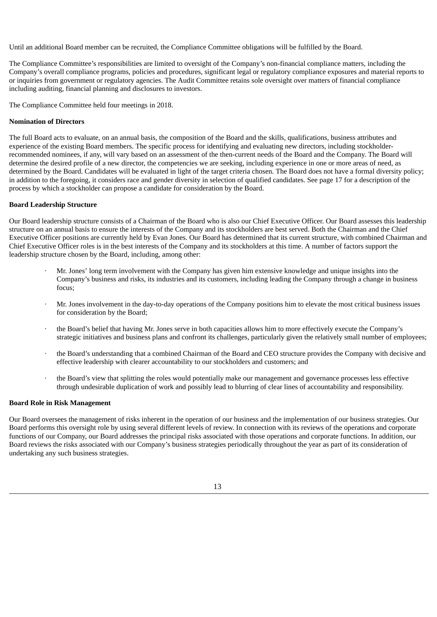Until an additional Board member can be recruited, the Compliance Committee obligations will be fulfilled by the Board.

The Compliance Committee's responsibilities are limited to oversight of the Company's non-financial compliance matters, including the Company's overall compliance programs, policies and procedures, significant legal or regulatory compliance exposures and material reports to or inquiries from government or regulatory agencies. The Audit Committee retains sole oversight over matters of financial compliance including auditing, financial planning and disclosures to investors.

The Compliance Committee held four meetings in 2018.

# **Nomination of Directors**

The full Board acts to evaluate, on an annual basis, the composition of the Board and the skills, qualifications, business attributes and experience of the existing Board members. The specific process for identifying and evaluating new directors, including stockholderrecommended nominees, if any, will vary based on an assessment of the then-current needs of the Board and the Company. The Board will determine the desired profile of a new director, the competencies we are seeking, including experience in one or more areas of need, as determined by the Board. Candidates will be evaluated in light of the target criteria chosen. The Board does not have a formal diversity policy; in addition to the foregoing, it considers race and gender diversity in selection of qualified candidates. See page 17 for a description of the process by which a stockholder can propose a candidate for consideration by the Board.

# **Board Leadership Structure**

Our Board leadership structure consists of a Chairman of the Board who is also our Chief Executive Officer. Our Board assesses this leadership structure on an annual basis to ensure the interests of the Company and its stockholders are best served. Both the Chairman and the Chief Executive Officer positions are currently held by Evan Jones. Our Board has determined that its current structure, with combined Chairman and Chief Executive Officer roles is in the best interests of the Company and its stockholders at this time. A number of factors support the leadership structure chosen by the Board, including, among other:

- · Mr. Jones' long term involvement with the Company has given him extensive knowledge and unique insights into the Company's business and risks, its industries and its customers, including leading the Company through a change in business focus;
- · Mr. Jones involvement in the day-to-day operations of the Company positions him to elevate the most critical business issues for consideration by the Board;
- · the Board's belief that having Mr. Jones serve in both capacities allows him to more effectively execute the Company's strategic initiatives and business plans and confront its challenges, particularly given the relatively small number of employees;
- · the Board's understanding that a combined Chairman of the Board and CEO structure provides the Company with decisive and effective leadership with clearer accountability to our stockholders and customers; and
- · the Board's view that splitting the roles would potentially make our management and governance processes less effective through undesirable duplication of work and possibly lead to blurring of clear lines of accountability and responsibility.

# **Board Role in Risk Management**

Our Board oversees the management of risks inherent in the operation of our business and the implementation of our business strategies. Our Board performs this oversight role by using several different levels of review. In connection with its reviews of the operations and corporate functions of our Company, our Board addresses the principal risks associated with those operations and corporate functions. In addition, our Board reviews the risks associated with our Company's business strategies periodically throughout the year as part of its consideration of undertaking any such business strategies.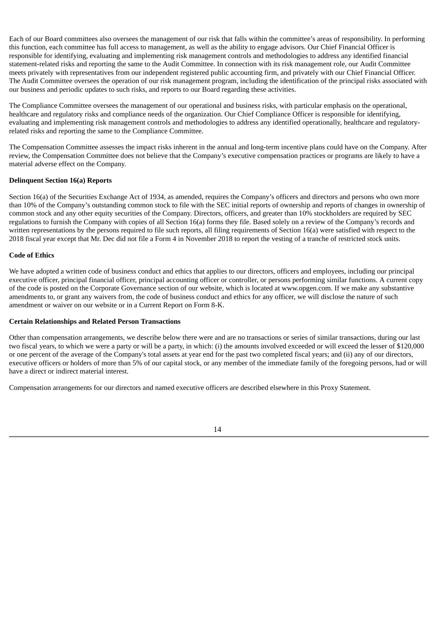Each of our Board committees also oversees the management of our risk that falls within the committee's areas of responsibility. In performing this function, each committee has full access to management, as well as the ability to engage advisors. Our Chief Financial Officer is responsible for identifying, evaluating and implementing risk management controls and methodologies to address any identified financial statement-related risks and reporting the same to the Audit Committee. In connection with its risk management role, our Audit Committee meets privately with representatives from our independent registered public accounting firm, and privately with our Chief Financial Officer. The Audit Committee oversees the operation of our risk management program, including the identification of the principal risks associated with our business and periodic updates to such risks, and reports to our Board regarding these activities.

The Compliance Committee oversees the management of our operational and business risks, with particular emphasis on the operational, healthcare and regulatory risks and compliance needs of the organization. Our Chief Compliance Officer is responsible for identifying, evaluating and implementing risk management controls and methodologies to address any identified operationally, healthcare and regulatoryrelated risks and reporting the same to the Compliance Committee.

The Compensation Committee assesses the impact risks inherent in the annual and long-term incentive plans could have on the Company. After review, the Compensation Committee does not believe that the Company's executive compensation practices or programs are likely to have a material adverse effect on the Company.

# **Delinquent Section 16(a) Reports**

Section 16(a) of the Securities Exchange Act of 1934, as amended, requires the Company's officers and directors and persons who own more than 10% of the Company's outstanding common stock to file with the SEC initial reports of ownership and reports of changes in ownership of common stock and any other equity securities of the Company. Directors, officers, and greater than 10% stockholders are required by SEC regulations to furnish the Company with copies of all Section 16(a) forms they file. Based solely on a review of the Company's records and written representations by the persons required to file such reports, all filing requirements of Section 16(a) were satisfied with respect to the 2018 fiscal year except that Mr. Dec did not file a Form 4 in November 2018 to report the vesting of a tranche of restricted stock units.

# **Code of Ethics**

We have adopted a written code of business conduct and ethics that applies to our directors, officers and employees, including our principal executive officer, principal financial officer, principal accounting officer or controller, or persons performing similar functions. A current copy of the code is posted on the Corporate Governance section of our website, which is located at www.opgen.com. If we make any substantive amendments to, or grant any waivers from, the code of business conduct and ethics for any officer, we will disclose the nature of such amendment or waiver on our website or in a Current Report on Form 8-K.

# **Certain Relationships and Related Person Transactions**

Other than compensation arrangements, we describe below there were and are no transactions or series of similar transactions, during our last two fiscal years, to which we were a party or will be a party, in which: (i) the amounts involved exceeded or will exceed the lesser of \$120,000 or one percent of the average of the Company's total assets at year end for the past two completed fiscal years; and (ii) any of our directors, executive officers or holders of more than 5% of our capital stock, or any member of the immediate family of the foregoing persons, had or will have a direct or indirect material interest.

Compensation arrangements for our directors and named executive officers are described elsewhere in this Proxy Statement.

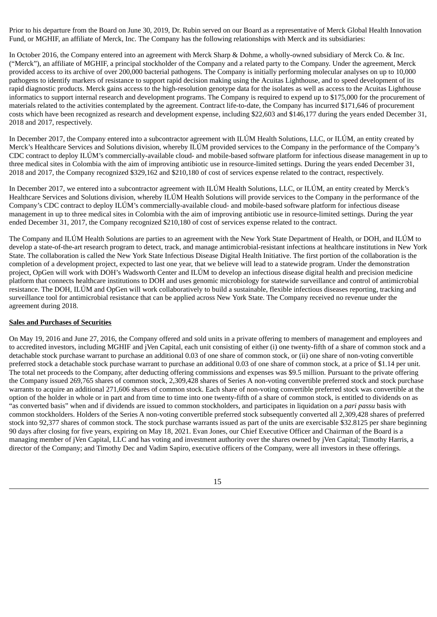Prior to his departure from the Board on June 30, 2019, Dr. Rubin served on our Board as a representative of Merck Global Health Innovation Fund, or MGHIF, an affiliate of Merck, Inc. The Company has the following relationships with Merck and its subsidiaries:

In October 2016, the Company entered into an agreement with Merck Sharp & Dohme, a wholly-owned subsidiary of Merck Co. & Inc. ("Merck"), an affiliate of MGHIF, a principal stockholder of the Company and a related party to the Company. Under the agreement, Merck provided access to its archive of over 200,000 bacterial pathogens. The Company is initially performing molecular analyses on up to 10,000 pathogens to identify markers of resistance to support rapid decision making using the Acuitas Lighthouse, and to speed development of its rapid diagnostic products. Merck gains access to the high-resolution genotype data for the isolates as well as access to the Acuitas Lighthouse informatics to support internal research and development programs. The Company is required to expend up to \$175,000 for the procurement of materials related to the activities contemplated by the agreement. Contract life-to-date, the Company has incurred \$171,646 of procurement costs which have been recognized as research and development expense, including \$22,603 and \$146,177 during the years ended December 31, 2018 and 2017, respectively.

In December 2017, the Company entered into a subcontractor agreement with ILÚM Health Solutions, LLC, or ILÚM, an entity created by Merck's Healthcare Services and Solutions division, whereby ILÚM provided services to the Company in the performance of the Company's CDC contract to deploy ILÚM's commercially-available cloud- and mobile-based software platform for infectious disease management in up to three medical sites in Colombia with the aim of improving antibiotic use in resource-limited settings. During the years ended December 31, 2018 and 2017, the Company recognized \$329,162 and \$210,180 of cost of services expense related to the contract, respectively.

In December 2017, we entered into a subcontractor agreement with ILÚM Health Solutions, LLC, or ILÚM, an entity created by Merck's Healthcare Services and Solutions division, whereby ILÚM Health Solutions will provide services to the Company in the performance of the Company's CDC contract to deploy ILÚM's commercially-available cloud- and mobile-based software platform for infectious disease management in up to three medical sites in Colombia with the aim of improving antibiotic use in resource-limited settings. During the year ended December 31, 2017, the Company recognized \$210,180 of cost of services expense related to the contract.

The Company and ILÚM Health Solutions are parties to an agreement with the New York State Department of Health, or DOH, and ILÚM to develop a state-of-the-art research program to detect, track, and manage antimicrobial-resistant infections at healthcare institutions in New York State. The collaboration is called the New York State Infectious Disease Digital Health Initiative. The first portion of the collaboration is the completion of a development project, expected to last one year, that we believe will lead to a statewide program. Under the demonstration project, OpGen will work with DOH's Wadsworth Center and ILÚM to develop an infectious disease digital health and precision medicine platform that connects healthcare institutions to DOH and uses genomic microbiology for statewide surveillance and control of antimicrobial resistance. The DOH, ILÚM and OpGen will work collaboratively to build a sustainable, flexible infectious diseases reporting, tracking and surveillance tool for antimicrobial resistance that can be applied across New York State. The Company received no revenue under the agreement during 2018.

# **Sales and Purchases of Securities**

On May 19, 2016 and June 27, 2016, the Company offered and sold units in a private offering to members of management and employees and to accredited investors, including MGHIF and jVen Capital, each unit consisting of either (i) one twenty-fifth of a share of common stock and a detachable stock purchase warrant to purchase an additional 0.03 of one share of common stock, or (ii) one share of non-voting convertible preferred stock a detachable stock purchase warrant to purchase an additional 0.03 of one share of common stock, at a price of \$1.14 per unit. The total net proceeds to the Company, after deducting offering commissions and expenses was \$9.5 million. Pursuant to the private offering the Company issued 269,765 shares of common stock, 2,309,428 shares of Series A non-voting convertible preferred stock and stock purchase warrants to acquire an additional 271,606 shares of common stock. Each share of non-voting convertible preferred stock was convertible at the option of the holder in whole or in part and from time to time into one twenty-fifth of a share of common stock, is entitled to dividends on as "as converted basis" when and if dividends are issued to common stockholders, and participates in liquidation on a *pari passu* basis with common stockholders. Holders of the Series A non-voting convertible preferred stock subsequently converted all 2,309,428 shares of preferred stock into 92,377 shares of common stock. The stock purchase warrants issued as part of the units are exercisable \$32.8125 per share beginning 90 days after closing for five years, expiring on May 18, 2021. Evan Jones, our Chief Executive Officer and Chairman of the Board is a managing member of jVen Capital, LLC and has voting and investment authority over the shares owned by jVen Capital; Timothy Harris, a director of the Company; and Timothy Dec and Vadim Sapiro, executive officers of the Company, were all investors in these offerings.

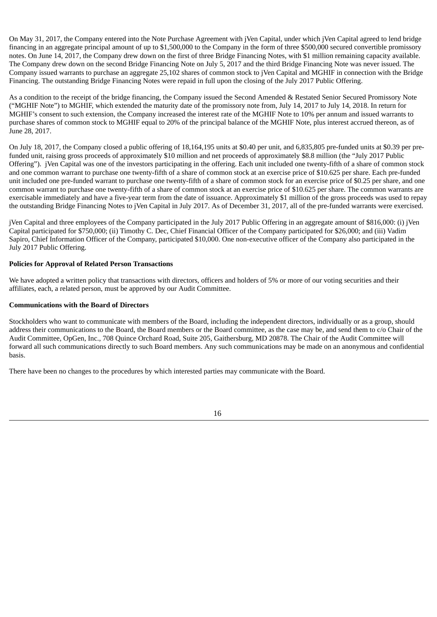On May 31, 2017, the Company entered into the Note Purchase Agreement with jVen Capital, under which jVen Capital agreed to lend bridge financing in an aggregate principal amount of up to \$1,500,000 to the Company in the form of three \$500,000 secured convertible promissory notes. On June 14, 2017, the Company drew down on the first of three Bridge Financing Notes, with \$1 million remaining capacity available. The Company drew down on the second Bridge Financing Note on July 5, 2017 and the third Bridge Financing Note was never issued. The Company issued warrants to purchase an aggregate 25,102 shares of common stock to jVen Capital and MGHIF in connection with the Bridge Financing. The outstanding Bridge Financing Notes were repaid in full upon the closing of the July 2017 Public Offering.

As a condition to the receipt of the bridge financing, the Company issued the Second Amended & Restated Senior Secured Promissory Note ("MGHIF Note") to MGHIF, which extended the maturity date of the promissory note from, July 14, 2017 to July 14, 2018. In return for MGHIF's consent to such extension, the Company increased the interest rate of the MGHIF Note to 10% per annum and issued warrants to purchase shares of common stock to MGHIF equal to 20% of the principal balance of the MGHIF Note, plus interest accrued thereon, as of June 28, 2017.

On July 18, 2017, the Company closed a public offering of 18,164,195 units at \$0.40 per unit, and 6,835,805 pre-funded units at \$0.39 per prefunded unit, raising gross proceeds of approximately \$10 million and net proceeds of approximately \$8.8 million (the "July 2017 Public Offering"). jVen Capital was one of the investors participating in the offering. Each unit included one twenty-fifth of a share of common stock and one common warrant to purchase one twenty-fifth of a share of common stock at an exercise price of \$10.625 per share. Each pre-funded unit included one pre-funded warrant to purchase one twenty-fifth of a share of common stock for an exercise price of \$0.25 per share, and one common warrant to purchase one twenty-fifth of a share of common stock at an exercise price of \$10.625 per share. The common warrants are exercisable immediately and have a five-year term from the date of issuance. Approximately \$1 million of the gross proceeds was used to repay the outstanding Bridge Financing Notes to jVen Capital in July 2017. As of December 31, 2017, all of the pre-funded warrants were exercised.

jVen Capital and three employees of the Company participated in the July 2017 Public Offering in an aggregate amount of \$816,000: (i) jVen Capital participated for \$750,000; (ii) Timothy C. Dec, Chief Financial Officer of the Company participated for \$26,000; and (iii) Vadim Sapiro, Chief Information Officer of the Company, participated \$10,000. One non-executive officer of the Company also participated in the July 2017 Public Offering.

# **Policies for Approval of Related Person Transactions**

We have adopted a written policy that transactions with directors, officers and holders of 5% or more of our voting securities and their affiliates, each, a related person, must be approved by our Audit Committee.

#### **Communications with the Board of Directors**

Stockholders who want to communicate with members of the Board, including the independent directors, individually or as a group, should address their communications to the Board, the Board members or the Board committee, as the case may be, and send them to c/o Chair of the Audit Committee, OpGen, Inc., 708 Quince Orchard Road, Suite 205, Gaithersburg, MD 20878. The Chair of the Audit Committee will forward all such communications directly to such Board members. Any such communications may be made on an anonymous and confidential basis.

There have been no changes to the procedures by which interested parties may communicate with the Board.

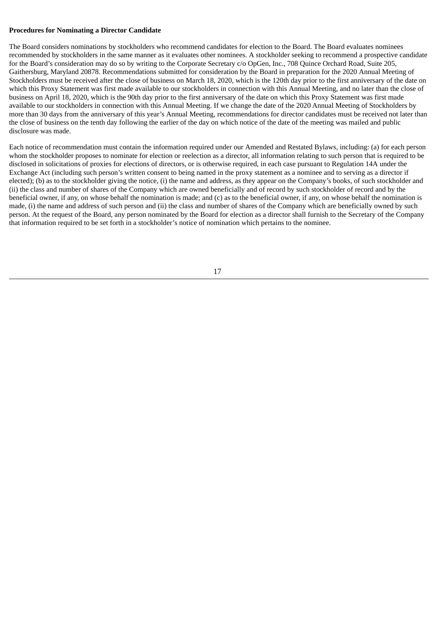#### **Procedures for Nominating a Director Candidate**

The Board considers nominations by stockholders who recommend candidates for election to the Board. The Board evaluates nominees recommended by stockholders in the same manner as it evaluates other nominees. A stockholder seeking to recommend a prospective candidate for the Board's consideration may do so by writing to the Corporate Secretary c/o OpGen, Inc., 708 Quince Orchard Road, Suite 205, Gaithersburg, Maryland 20878. Recommendations submitted for consideration by the Board in preparation for the 2020 Annual Meeting of Stockholders must be received after the close of business on March 18, 2020, which is the 120th day prior to the first anniversary of the date on which this Proxy Statement was first made available to our stockholders in connection with this Annual Meeting, and no later than the close of business on April 18, 2020, which is the 90th day prior to the first anniversary of the date on which this Proxy Statement was first made available to our stockholders in connection with this Annual Meeting. If we change the date of the 2020 Annual Meeting of Stockholders by more than 30 days from the anniversary of this year's Annual Meeting, recommendations for director candidates must be received not later than the close of business on the tenth day following the earlier of the day on which notice of the date of the meeting was mailed and public disclosure was made.

Each notice of recommendation must contain the information required under our Amended and Restated Bylaws, including: (a) for each person whom the stockholder proposes to nominate for election or reelection as a director, all information relating to such person that is required to be disclosed in solicitations of proxies for elections of directors, or is otherwise required, in each case pursuant to Regulation 14A under the Exchange Act (including such person's written consent to being named in the proxy statement as a nominee and to serving as a director if elected); (b) as to the stockholder giving the notice, (i) the name and address, as they appear on the Company's books, of such stockholder and (ii) the class and number of shares of the Company which are owned beneficially and of record by such stockholder of record and by the beneficial owner, if any, on whose behalf the nomination is made; and (c) as to the beneficial owner, if any, on whose behalf the nomination is made, (i) the name and address of such person and (ii) the class and number of shares of the Company which are beneficially owned by such person. At the request of the Board, any person nominated by the Board for election as a director shall furnish to the Secretary of the Company that information required to be set forth in a stockholder's notice of nomination which pertains to the nominee.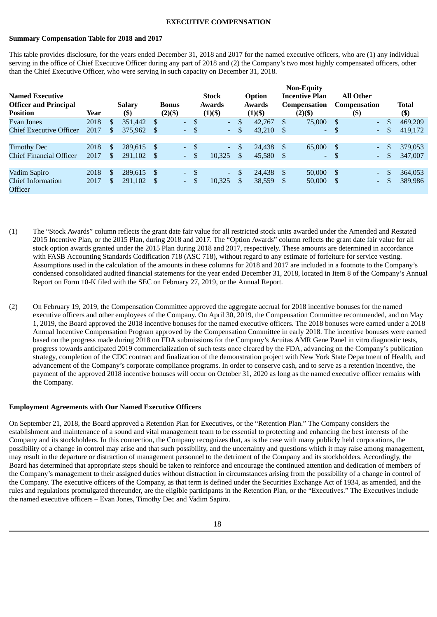#### **EXECUTIVE COMPENSATION**

#### **Summary Compensation Table for 2018 and 2017**

This table provides disclosure, for the years ended December 31, 2018 and 2017 for the named executive officers, who are (1) any individual serving in the office of Chief Executive Officer during any part of 2018 and (2) the Company's two most highly compensated officers, other than the Chief Executive Officer, who were serving in such capacity on December 31, 2018.

| <b>Named Executive</b><br><b>Officer and Principal</b><br><b>Position</b> | Year |    | <b>Salary</b><br>(\$) | <b>Bonus</b><br>$(2)(\$)$ |            |               | <b>Stock</b><br>Awards<br>$(1)(\$)$ |               | <b>Option</b><br><b>Awards</b><br>$(1)(\$)$ |              | <b>Non-Equity</b><br><b>Incentive Plan</b><br>Compensation<br>$(2)(\$)$ |      | <b>All Other</b><br><b>Compensation</b><br>$(\$\mathfrak{D})$ |     | <b>Total</b><br>$($ \$ |
|---------------------------------------------------------------------------|------|----|-----------------------|---------------------------|------------|---------------|-------------------------------------|---------------|---------------------------------------------|--------------|-------------------------------------------------------------------------|------|---------------------------------------------------------------|-----|------------------------|
| <b>Evan Jones</b>                                                         | 2018 | \$ | 351.442               | \$                        | $\sim$     | $\mathbf{s}$  | $\Delta \phi$                       | \$            | 42,767                                      | <b>S</b>     | 75,000                                                                  | -S   | $\Delta \sim 10$                                              | \$. | 469,209                |
| <b>Chief Executive Officer</b>                                            | 2017 | \$ | 375,962               | S                         | $\sim$     | S             | ÷.                                  | \$            | 43,210                                      | \$           | $\sim$                                                                  | -S   | $\sim 10$                                                     | S   | 419,172                |
|                                                                           |      |    |                       |                           |            |               |                                     |               |                                             |              |                                                                         |      |                                                               |     |                        |
| <b>Timothy Dec</b>                                                        | 2018 | S  | 289.615 \$            |                           | $\sim$     |               | $\Delta \phi$                       | <sup>\$</sup> | 24.438                                      | -S           | 65,000                                                                  | -S   | $\sim$ 10 $\pm$                                               |     | 379,053                |
| <b>Chief Financial Officer</b>                                            | 2017 | \$ | 291.102               | - S                       | $\sim$     | <sup>\$</sup> | 10.325                              | \$.           | 45.580                                      | <sup>S</sup> | $\sim$                                                                  | - \$ | $\sim 100$                                                    | \$. | 347,007                |
|                                                                           |      |    |                       |                           |            |               |                                     |               |                                             |              |                                                                         |      |                                                               |     |                        |
| Vadim Sapiro                                                              | 2018 | S  | 289.615               | -S                        | $\omega$ . | -S            | $\Delta \phi$                       | \$            | 24,438                                      | S            | 50,000                                                                  | -S   | $\sim$ 10 $\pm$                                               |     | 364,053                |
| <b>Chief Information</b><br>Officer                                       | 2017 | \$ | 291,102               | <sup>S</sup>              | $\sim$     |               | 10,325                              | \$            | 38,559                                      | \$           | 50,000                                                                  | -S   | $\sim$ $-$                                                    |     | 389,986                |

- (1) The "Stock Awards" column reflects the grant date fair value for all restricted stock units awarded under the Amended and Restated 2015 Incentive Plan, or the 2015 Plan, during 2018 and 2017. The "Option Awards" column reflects the grant date fair value for all stock option awards granted under the 2015 Plan during 2018 and 2017, respectively. These amounts are determined in accordance with FASB Accounting Standards Codification 718 (ASC 718), without regard to any estimate of forfeiture for service vesting. Assumptions used in the calculation of the amounts in these columns for 2018 and 2017 are included in a footnote to the Company's condensed consolidated audited financial statements for the year ended December 31, 2018, located in Item 8 of the Company's Annual Report on Form 10-K filed with the SEC on February 27, 2019, or the Annual Report.
- (2) On February 19, 2019, the Compensation Committee approved the aggregate accrual for 2018 incentive bonuses for the named executive officers and other employees of the Company. On April 30, 2019, the Compensation Committee recommended, and on May 1, 2019, the Board approved the 2018 incentive bonuses for the named executive officers. The 2018 bonuses were earned under a 2018 Annual Incentive Compensation Program approved by the Compensation Committee in early 2018. The incentive bonuses were earned based on the progress made during 2018 on FDA submissions for the Company's Acuitas AMR Gene Panel in vitro diagnostic tests, progress towards anticipated 2019 commercialization of such tests once cleared by the FDA, advancing on the Company's publication strategy, completion of the CDC contract and finalization of the demonstration project with New York State Department of Health, and advancement of the Company's corporate compliance programs. In order to conserve cash, and to serve as a retention incentive, the payment of the approved 2018 incentive bonuses will occur on October 31, 2020 as long as the named executive officer remains with the Company.

# **Employment Agreements with Our Named Executive Officers**

On September 21, 2018, the Board approved a Retention Plan for Executives, or the "Retention Plan." The Company considers the establishment and maintenance of a sound and vital management team to be essential to protecting and enhancing the best interests of the Company and its stockholders. In this connection, the Company recognizes that, as is the case with many publicly held corporations, the possibility of a change in control may arise and that such possibility, and the uncertainty and questions which it may raise among management, may result in the departure or distraction of management personnel to the detriment of the Company and its stockholders. Accordingly, the Board has determined that appropriate steps should be taken to reinforce and encourage the continued attention and dedication of members of the Company's management to their assigned duties without distraction in circumstances arising from the possibility of a change in control of the Company. The executive officers of the Company, as that term is defined under the Securities Exchange Act of 1934, as amended, and the rules and regulations promulgated thereunder, are the eligible participants in the Retention Plan, or the "Executives." The Executives include the named executive officers – Evan Jones, Timothy Dec and Vadim Sapiro.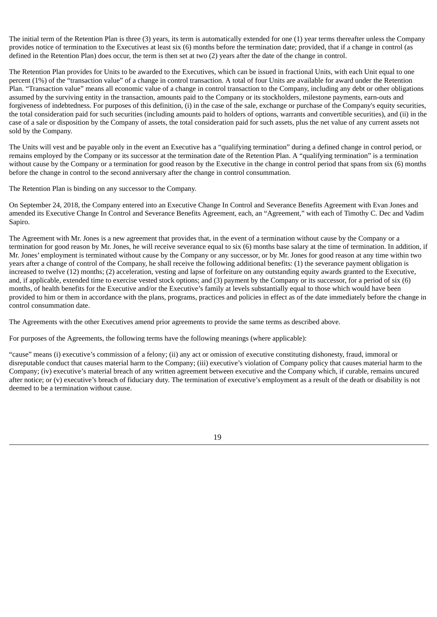The initial term of the Retention Plan is three (3) years, its term is automatically extended for one (1) year terms thereafter unless the Company provides notice of termination to the Executives at least six (6) months before the termination date; provided, that if a change in control (as defined in the Retention Plan) does occur, the term is then set at two (2) years after the date of the change in control.

The Retention Plan provides for Units to be awarded to the Executives, which can be issued in fractional Units, with each Unit equal to one percent (1%) of the "transaction value" of a change in control transaction. A total of four Units are available for award under the Retention Plan. "Transaction value" means all economic value of a change in control transaction to the Company, including any debt or other obligations assumed by the surviving entity in the transaction, amounts paid to the Company or its stockholders, milestone payments, earn-outs and forgiveness of indebtedness. For purposes of this definition, (i) in the case of the sale, exchange or purchase of the Company's equity securities, the total consideration paid for such securities (including amounts paid to holders of options, warrants and convertible securities), and (ii) in the case of a sale or disposition by the Company of assets, the total consideration paid for such assets, plus the net value of any current assets not sold by the Company.

The Units will vest and be payable only in the event an Executive has a "qualifying termination" during a defined change in control period, or remains employed by the Company or its successor at the termination date of the Retention Plan. A "qualifying termination" is a termination without cause by the Company or a termination for good reason by the Executive in the change in control period that spans from six (6) months before the change in control to the second anniversary after the change in control consummation.

The Retention Plan is binding on any successor to the Company.

On September 24, 2018, the Company entered into an Executive Change In Control and Severance Benefits Agreement with Evan Jones and amended its Executive Change In Control and Severance Benefits Agreement, each, an "Agreement," with each of Timothy C. Dec and Vadim Sapiro.

The Agreement with Mr. Jones is a new agreement that provides that, in the event of a termination without cause by the Company or a termination for good reason by Mr. Jones, he will receive severance equal to six (6) months base salary at the time of termination. In addition, if Mr. Jones' employment is terminated without cause by the Company or any successor, or by Mr. Jones for good reason at any time within two years after a change of control of the Company, he shall receive the following additional benefits: (1) the severance payment obligation is increased to twelve (12) months; (2) acceleration, vesting and lapse of forfeiture on any outstanding equity awards granted to the Executive, and, if applicable, extended time to exercise vested stock options; and (3) payment by the Company or its successor, for a period of six (6) months, of health benefits for the Executive and/or the Executive's family at levels substantially equal to those which would have been provided to him or them in accordance with the plans, programs, practices and policies in effect as of the date immediately before the change in control consummation date.

The Agreements with the other Executives amend prior agreements to provide the same terms as described above.

For purposes of the Agreements, the following terms have the following meanings (where applicable):

"cause" means (i) executive's commission of a felony; (ii) any act or omission of executive constituting dishonesty, fraud, immoral or disreputable conduct that causes material harm to the Company; (iii) executive's violation of Company policy that causes material harm to the Company; (iv) executive's material breach of any written agreement between executive and the Company which, if curable, remains uncured after notice; or (v) executive's breach of fiduciary duty. The termination of executive's employment as a result of the death or disability is not deemed to be a termination without cause.

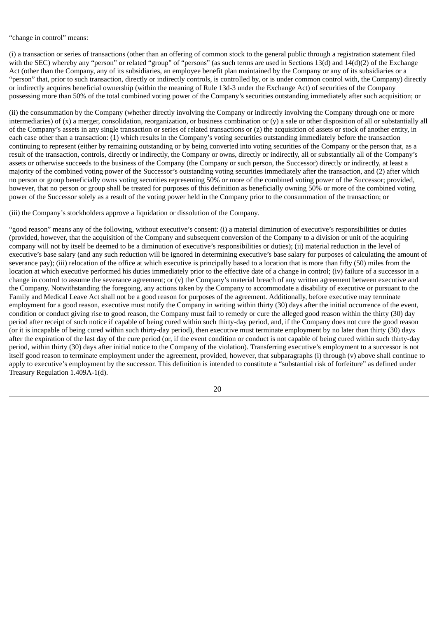## "change in control" means:

(i) a transaction or series of transactions (other than an offering of common stock to the general public through a registration statement filed with the SEC) whereby any "person" or related "group" of "persons" (as such terms are used in Sections 13(d) and 14(d)(2) of the Exchange Act (other than the Company, any of its subsidiaries, an employee benefit plan maintained by the Company or any of its subsidiaries or a "person" that, prior to such transaction, directly or indirectly controls, is controlled by, or is under common control with, the Company) directly or indirectly acquires beneficial ownership (within the meaning of Rule 13d-3 under the Exchange Act) of securities of the Company possessing more than 50% of the total combined voting power of the Company's securities outstanding immediately after such acquisition; or

(ii) the consummation by the Company (whether directly involving the Company or indirectly involving the Company through one or more intermediaries) of (x) a merger, consolidation, reorganization, or business combination or (y) a sale or other disposition of all or substantially all of the Company's assets in any single transaction or series of related transactions or (z) the acquisition of assets or stock of another entity, in each case other than a transaction: (1) which results in the Company's voting securities outstanding immediately before the transaction continuing to represent (either by remaining outstanding or by being converted into voting securities of the Company or the person that, as a result of the transaction, controls, directly or indirectly, the Company or owns, directly or indirectly, all or substantially all of the Company's assets or otherwise succeeds to the business of the Company (the Company or such person, the Successor) directly or indirectly, at least a majority of the combined voting power of the Successor's outstanding voting securities immediately after the transaction, and (2) after which no person or group beneficially owns voting securities representing 50% or more of the combined voting power of the Successor; provided, however, that no person or group shall be treated for purposes of this definition as beneficially owning 50% or more of the combined voting power of the Successor solely as a result of the voting power held in the Company prior to the consummation of the transaction; or

#### (iii) the Company's stockholders approve a liquidation or dissolution of the Company.

"good reason" means any of the following, without executive's consent: (i) a material diminution of executive's responsibilities or duties (provided, however, that the acquisition of the Company and subsequent conversion of the Company to a division or unit of the acquiring company will not by itself be deemed to be a diminution of executive's responsibilities or duties); (ii) material reduction in the level of executive's base salary (and any such reduction will be ignored in determining executive's base salary for purposes of calculating the amount of severance pay); (iii) relocation of the office at which executive is principally based to a location that is more than fifty (50) miles from the location at which executive performed his duties immediately prior to the effective date of a change in control; (iv) failure of a successor in a change in control to assume the severance agreement; or (v) the Company's material breach of any written agreement between executive and the Company. Notwithstanding the foregoing, any actions taken by the Company to accommodate a disability of executive or pursuant to the Family and Medical Leave Act shall not be a good reason for purposes of the agreement. Additionally, before executive may terminate employment for a good reason, executive must notify the Company in writing within thirty (30) days after the initial occurrence of the event, condition or conduct giving rise to good reason, the Company must fail to remedy or cure the alleged good reason within the thirty (30) day period after receipt of such notice if capable of being cured within such thirty-day period, and, if the Company does not cure the good reason (or it is incapable of being cured within such thirty-day period), then executive must terminate employment by no later than thirty (30) days after the expiration of the last day of the cure period (or, if the event condition or conduct is not capable of being cured within such thirty-day period, within thirty (30) days after initial notice to the Company of the violation). Transferring executive's employment to a successor is not itself good reason to terminate employment under the agreement, provided, however, that subparagraphs (i) through (v) above shall continue to apply to executive's employment by the successor. This definition is intended to constitute a "substantial risk of forfeiture" as defined under Treasury Regulation 1.409A-1(d).

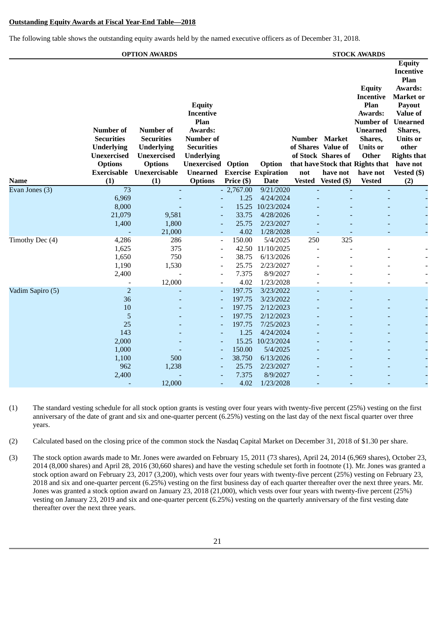#### **Outstanding Equity Awards at Fiscal Year-End Table—2018**

The following table shows the outstanding equity awards held by the named executive officers as of December 31, 2018.

|                  |                                                                                                                          | <b>OPTION AWARDS</b>                                                                                                       |                                                                                                                                                                        |                                                                                              |                                                                                                                                                  |                                            |                                                      | <b>STOCK AWARDS</b>                                                                                                                                                                                          |                                                                                                                                                                                                             |
|------------------|--------------------------------------------------------------------------------------------------------------------------|----------------------------------------------------------------------------------------------------------------------------|------------------------------------------------------------------------------------------------------------------------------------------------------------------------|----------------------------------------------------------------------------------------------|--------------------------------------------------------------------------------------------------------------------------------------------------|--------------------------------------------|------------------------------------------------------|--------------------------------------------------------------------------------------------------------------------------------------------------------------------------------------------------------------|-------------------------------------------------------------------------------------------------------------------------------------------------------------------------------------------------------------|
| Name             | <b>Number of</b><br><b>Securities</b><br><b>Underlying</b><br><b>Unexercised</b><br><b>Options</b><br>Exercisable<br>(1) | <b>Number of</b><br><b>Securities</b><br><b>Underlying</b><br><b>Unexercised</b><br><b>Options</b><br>Unexercisable<br>(1) | <b>Equity</b><br><b>Incentive</b><br>Plan<br>Awards:<br><b>Number of</b><br><b>Securities</b><br><b>Underlying</b><br>Unexercised<br><b>Unearned</b><br><b>Options</b> | Option<br>Price (\$)                                                                         | Option<br><b>Exercise Expiration</b><br><b>Date</b>                                                                                              | Number Market<br>of Shares Value of<br>not | of Stock Shares of<br>have not<br>Vested Vested (\$) | <b>Equity</b><br><b>Incentive</b><br>Plan<br>Awards:<br><b>Number of Unearned</b><br><b>Unearned</b><br>Shares,<br><b>Units or</b><br>Other<br>that have Stock that Rights that<br>have not<br><b>Vested</b> | <b>Equity</b><br><b>Incentive</b><br>Plan<br>Awards:<br><b>Market</b> or<br><b>Payout</b><br><b>Value of</b><br>Shares,<br><b>Units or</b><br>other<br><b>Rights that</b><br>have not<br>Vested (\$)<br>(2) |
| Evan Jones (3)   | $\overline{73}$<br>6,969<br>8,000<br>21,079<br>1,400                                                                     | 9,581<br>1,800<br>21,000                                                                                                   |                                                                                                                                                                        | $-2,767.00$<br>1.25<br>33.75<br>25.75<br>4.02                                                | 9/21/2020<br>4/24/2024<br>15.25 10/23/2024<br>4/28/2026<br>2/23/2027<br>1/28/2028                                                                | ÷,                                         |                                                      | $\blacksquare$                                                                                                                                                                                               |                                                                                                                                                                                                             |
| Timothy Dec (4)  | 4,286<br>1,625<br>1,650<br>1,190<br>2,400                                                                                | 286<br>375<br>750<br>1,530<br>12,000                                                                                       | $\blacksquare$<br>$\overline{a}$<br>$\overline{a}$<br>$\overline{\phantom{a}}$                                                                                         | 150.00<br>42.50<br>38.75<br>25.75<br>7.375<br>4.02                                           | 5/4/2025<br>11/10/2025<br>6/13/2026<br>2/23/2027<br>8/9/2027<br>1/23/2028                                                                        | 250                                        | 325                                                  | $\sim$                                                                                                                                                                                                       |                                                                                                                                                                                                             |
| Vadim Sapiro (5) | $\overline{2}$<br>36<br>10<br>5<br>25<br>143<br>2,000<br>1,000<br>1,100<br>962<br>2,400                                  | 500<br>1,238                                                                                                               | $\blacksquare$                                                                                                                                                         | 197.75<br>197.75<br>197.75<br>197.75<br>197.75<br>1.25<br>150.00<br>38.750<br>25.75<br>7.375 | 3/23/2022<br>3/23/2022<br>2/12/2023<br>2/12/2023<br>7/25/2023<br>4/24/2024<br>15.25 10/23/2024<br>5/4/2025<br>6/13/2026<br>2/23/2027<br>8/9/2027 |                                            |                                                      |                                                                                                                                                                                                              |                                                                                                                                                                                                             |
|                  |                                                                                                                          | 12,000                                                                                                                     |                                                                                                                                                                        | 4.02                                                                                         | 1/23/2028                                                                                                                                        |                                            |                                                      |                                                                                                                                                                                                              |                                                                                                                                                                                                             |

- (1) The standard vesting schedule for all stock option grants is vesting over four years with twenty-five percent (25%) vesting on the first anniversary of the date of grant and six and one-quarter percent (6.25%) vesting on the last day of the next fiscal quarter over three years.
- (2) Calculated based on the closing price of the common stock the Nasdaq Capital Market on December 31, 2018 of \$1.30 per share.
- (3) The stock option awards made to Mr. Jones were awarded on February 15, 2011 (73 shares), April 24, 2014 (6,969 shares), October 23, 2014 (8,000 shares) and April 28, 2016 (30,660 shares) and have the vesting schedule set forth in footnote (1). Mr. Jones was granted a stock option award on February 23, 2017 (3,200), which vests over four years with twenty-five percent (25%) vesting on February 23, 2018 and six and one-quarter percent (6.25%) vesting on the first business day of each quarter thereafter over the next three years. Mr. Jones was granted a stock option award on January 23, 2018 (21,000), which vests over four years with twenty-five percent (25%) vesting on January 23, 2019 and six and one-quarter percent (6.25%) vesting on the quarterly anniversary of the first vesting date thereafter over the next three years.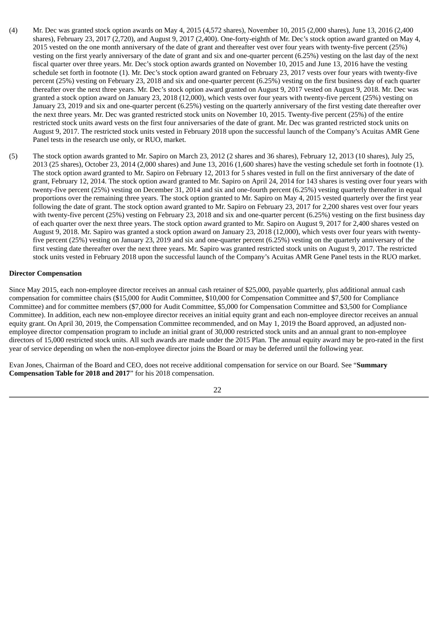- (4) Mr. Dec was granted stock option awards on May 4, 2015 (4,572 shares), November 10, 2015 (2,000 shares), June 13, 2016 (2,400 shares), February 23, 2017 (2,720), and August 9, 2017 (2,400). One-forty-eighth of Mr. Dec's stock option award granted on May 4, 2015 vested on the one month anniversary of the date of grant and thereafter vest over four years with twenty-five percent (25%) vesting on the first yearly anniversary of the date of grant and six and one-quarter percent (6.25%) vesting on the last day of the next fiscal quarter over three years. Mr. Dec's stock option awards granted on November 10, 2015 and June 13, 2016 have the vesting schedule set forth in footnote (1). Mr. Dec's stock option award granted on February 23, 2017 vests over four years with twenty-five percent (25%) vesting on February 23, 2018 and six and one-quarter percent (6.25%) vesting on the first business day of each quarter thereafter over the next three years. Mr. Dec's stock option award granted on August 9, 2017 vested on August 9, 2018. Mr. Dec was granted a stock option award on January 23, 2018 (12,000), which vests over four years with twenty-five percent (25%) vesting on January 23, 2019 and six and one-quarter percent (6.25%) vesting on the quarterly anniversary of the first vesting date thereafter over the next three years. Mr. Dec was granted restricted stock units on November 10, 2015. Twenty-five percent (25%) of the entire restricted stock units award vests on the first four anniversaries of the date of grant. Mr. Dec was granted restricted stock units on August 9, 2017. The restricted stock units vested in February 2018 upon the successful launch of the Company's Acuitas AMR Gene Panel tests in the research use only, or RUO, market.
- (5) The stock option awards granted to Mr. Sapiro on March 23, 2012 (2 shares and 36 shares), February 12, 2013 (10 shares), July 25, 2013 (25 shares), October 23, 2014 (2,000 shares) and June 13, 2016 (1,600 shares) have the vesting schedule set forth in footnote (1). The stock option award granted to Mr. Sapiro on February 12, 2013 for 5 shares vested in full on the first anniversary of the date of grant, February 12, 2014. The stock option award granted to Mr. Sapiro on April 24, 2014 for 143 shares is vesting over four years with twenty-five percent (25%) vesting on December 31, 2014 and six and one-fourth percent (6.25%) vesting quarterly thereafter in equal proportions over the remaining three years. The stock option granted to Mr. Sapiro on May 4, 2015 vested quarterly over the first year following the date of grant. The stock option award granted to Mr. Sapiro on February 23, 2017 for 2,200 shares vest over four years with twenty-five percent (25%) vesting on February 23, 2018 and six and one-quarter percent (6.25%) vesting on the first business day of each quarter over the next three years. The stock option award granted to Mr. Sapiro on August 9, 2017 for 2,400 shares vested on August 9, 2018. Mr. Sapiro was granted a stock option award on January 23, 2018 (12,000), which vests over four years with twentyfive percent (25%) vesting on January 23, 2019 and six and one-quarter percent (6.25%) vesting on the quarterly anniversary of the first vesting date thereafter over the next three years. Mr. Sapiro was granted restricted stock units on August 9, 2017. The restricted stock units vested in February 2018 upon the successful launch of the Company's Acuitas AMR Gene Panel tests in the RUO market.

#### **Director Compensation**

Since May 2015, each non-employee director receives an annual cash retainer of \$25,000, payable quarterly, plus additional annual cash compensation for committee chairs (\$15,000 for Audit Committee, \$10,000 for Compensation Committee and \$7,500 for Compliance Committee) and for committee members (\$7,000 for Audit Committee, \$5,000 for Compensation Committee and \$3,500 for Compliance Committee). In addition, each new non-employee director receives an initial equity grant and each non-employee director receives an annual equity grant. On April 30, 2019, the Compensation Committee recommended, and on May 1, 2019 the Board approved, an adjusted nonemployee director compensation program to include an initial grant of 30,000 restricted stock units and an annual grant to non-employee directors of 15,000 restricted stock units. All such awards are made under the 2015 Plan. The annual equity award may be pro-rated in the first year of service depending on when the non-employee director joins the Board or may be deferred until the following year.

Evan Jones, Chairman of the Board and CEO, does not receive additional compensation for service on our Board. See "**Summary Compensation Table for 2018 and 2017**" for his 2018 compensation.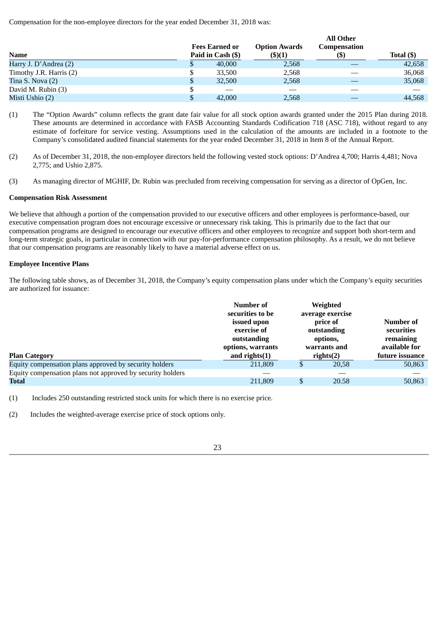Compensation for the non-employee directors for the year ended December 31, 2018 was:

|   |        | <b>Option Awards</b><br>(\$)(1)            | All Other<br>Compensation<br>(S) | Total $($ ) |
|---|--------|--------------------------------------------|----------------------------------|-------------|
| Φ | 40,000 | 2,568                                      |                                  | 42,658      |
| S | 33,500 | 2,568                                      |                                  | 36,068      |
| S | 32,500 | 2,568                                      |                                  | 35,068      |
|   |        |                                            |                                  |             |
| S | 42,000 | 2,568                                      |                                  | 44,568      |
|   |        | <b>Fees Earned or</b><br>Paid in Cash (\$) |                                  |             |

**All Other**

- (1) The "Option Awards" column reflects the grant date fair value for all stock option awards granted under the 2015 Plan during 2018. These amounts are determined in accordance with FASB Accounting Standards Codification 718 (ASC 718), without regard to any estimate of forfeiture for service vesting. Assumptions used in the calculation of the amounts are included in a footnote to the Company's consolidated audited financial statements for the year ended December 31, 2018 in Item 8 of the Annual Report.
- (2) As of December 31, 2018, the non-employee directors held the following vested stock options: D'Andrea 4,700; Harris 4,481; Nova 2,775; and Ushio 2,875.
- (3) As managing director of MGHIF, Dr. Rubin was precluded from receiving compensation for serving as a director of OpGen, Inc.

# **Compensation Risk Assessment**

We believe that although a portion of the compensation provided to our executive officers and other employees is performance-based, our executive compensation program does not encourage excessive or unnecessary risk taking. This is primarily due to the fact that our compensation programs are designed to encourage our executive officers and other employees to recognize and support both short-term and long-term strategic goals, in particular in connection with our pay-for-performance compensation philosophy. As a result, we do not believe that our compensation programs are reasonably likely to have a material adverse effect on us.

# **Employee Incentive Plans**

The following table shows, as of December 31, 2018, the Company's equity compensation plans under which the Company's equity securities are authorized for issuance:

| <b>Plan Category</b>                                       | Number of<br>securities to be<br>issued upon<br>exercise of<br>outstanding<br>options, warrants<br>and rights $(1)$ | Weighted<br>average exercise<br>price of<br>outstanding<br>options,<br>warrants and<br>rights(2) | Number of<br>securities<br>remaining<br>available for<br>future issuance |
|------------------------------------------------------------|---------------------------------------------------------------------------------------------------------------------|--------------------------------------------------------------------------------------------------|--------------------------------------------------------------------------|
| Equity compensation plans approved by security holders     | 211,809                                                                                                             | 20.58                                                                                            | 50,863                                                                   |
| Equity compensation plans not approved by security holders |                                                                                                                     |                                                                                                  |                                                                          |
| Total                                                      | 211,809                                                                                                             | 20.58                                                                                            | 50,863                                                                   |

(1) Includes 250 outstanding restricted stock units for which there is no exercise price.

(2) Includes the weighted-average exercise price of stock options only.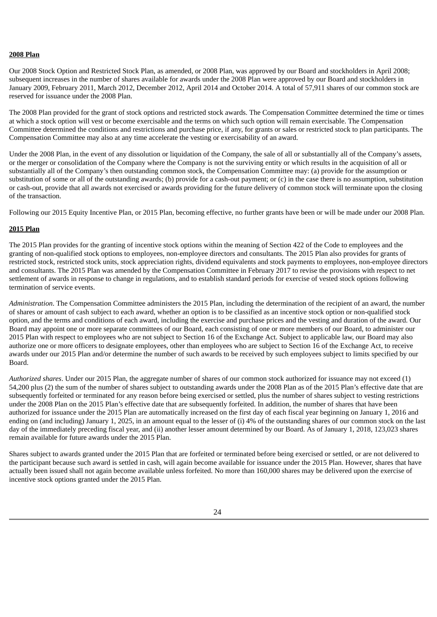## **2008 Plan**

Our 2008 Stock Option and Restricted Stock Plan, as amended, or 2008 Plan, was approved by our Board and stockholders in April 2008; subsequent increases in the number of shares available for awards under the 2008 Plan were approved by our Board and stockholders in January 2009, February 2011, March 2012, December 2012, April 2014 and October 2014. A total of 57,911 shares of our common stock are reserved for issuance under the 2008 Plan.

The 2008 Plan provided for the grant of stock options and restricted stock awards. The Compensation Committee determined the time or times at which a stock option will vest or become exercisable and the terms on which such option will remain exercisable. The Compensation Committee determined the conditions and restrictions and purchase price, if any, for grants or sales or restricted stock to plan participants. The Compensation Committee may also at any time accelerate the vesting or exercisability of an award.

Under the 2008 Plan, in the event of any dissolution or liquidation of the Company, the sale of all or substantially all of the Company's assets, or the merger or consolidation of the Company where the Company is not the surviving entity or which results in the acquisition of all or substantially all of the Company's then outstanding common stock, the Compensation Committee may: (a) provide for the assumption or substitution of some or all of the outstanding awards; (b) provide for a cash-out payment; or (c) in the case there is no assumption, substitution or cash-out, provide that all awards not exercised or awards providing for the future delivery of common stock will terminate upon the closing of the transaction.

Following our 2015 Equity Incentive Plan, or 2015 Plan, becoming effective, no further grants have been or will be made under our 2008 Plan.

# **2015 Plan**

The 2015 Plan provides for the granting of incentive stock options within the meaning of Section 422 of the Code to employees and the granting of non-qualified stock options to employees, non-employee directors and consultants. The 2015 Plan also provides for grants of restricted stock, restricted stock units, stock appreciation rights, dividend equivalents and stock payments to employees, non-employee directors and consultants. The 2015 Plan was amended by the Compensation Committee in February 2017 to revise the provisions with respect to net settlement of awards in response to change in regulations, and to establish standard periods for exercise of vested stock options following termination of service events.

*Administration*. The Compensation Committee administers the 2015 Plan, including the determination of the recipient of an award, the number of shares or amount of cash subject to each award, whether an option is to be classified as an incentive stock option or non-qualified stock option, and the terms and conditions of each award, including the exercise and purchase prices and the vesting and duration of the award. Our Board may appoint one or more separate committees of our Board, each consisting of one or more members of our Board, to administer our 2015 Plan with respect to employees who are not subject to Section 16 of the Exchange Act. Subject to applicable law, our Board may also authorize one or more officers to designate employees, other than employees who are subject to Section 16 of the Exchange Act, to receive awards under our 2015 Plan and/or determine the number of such awards to be received by such employees subject to limits specified by our Board.

*Authorized shares*. Under our 2015 Plan, the aggregate number of shares of our common stock authorized for issuance may not exceed (1) 54,200 plus (2) the sum of the number of shares subject to outstanding awards under the 2008 Plan as of the 2015 Plan's effective date that are subsequently forfeited or terminated for any reason before being exercised or settled, plus the number of shares subject to vesting restrictions under the 2008 Plan on the 2015 Plan's effective date that are subsequently forfeited. In addition, the number of shares that have been authorized for issuance under the 2015 Plan are automatically increased on the first day of each fiscal year beginning on January 1, 2016 and ending on (and including) January 1, 2025, in an amount equal to the lesser of (i) 4% of the outstanding shares of our common stock on the last day of the immediately preceding fiscal year, and (ii) another lesser amount determined by our Board. As of January 1, 2018, 123,023 shares remain available for future awards under the 2015 Plan.

Shares subject to awards granted under the 2015 Plan that are forfeited or terminated before being exercised or settled, or are not delivered to the participant because such award is settled in cash, will again become available for issuance under the 2015 Plan. However, shares that have actually been issued shall not again become available unless forfeited. No more than 160,000 shares may be delivered upon the exercise of incentive stock options granted under the 2015 Plan.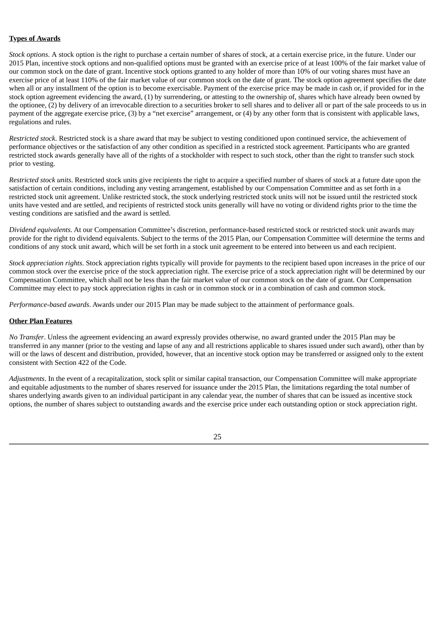# **Types of Awards**

*Stock options*. A stock option is the right to purchase a certain number of shares of stock, at a certain exercise price, in the future. Under our 2015 Plan, incentive stock options and non-qualified options must be granted with an exercise price of at least 100% of the fair market value of our common stock on the date of grant. Incentive stock options granted to any holder of more than 10% of our voting shares must have an exercise price of at least 110% of the fair market value of our common stock on the date of grant. The stock option agreement specifies the date when all or any installment of the option is to become exercisable. Payment of the exercise price may be made in cash or, if provided for in the stock option agreement evidencing the award, (1) by surrendering, or attesting to the ownership of, shares which have already been owned by the optionee, (2) by delivery of an irrevocable direction to a securities broker to sell shares and to deliver all or part of the sale proceeds to us in payment of the aggregate exercise price, (3) by a "net exercise" arrangement, or (4) by any other form that is consistent with applicable laws, regulations and rules.

*Restricted stock*. Restricted stock is a share award that may be subject to vesting conditioned upon continued service, the achievement of performance objectives or the satisfaction of any other condition as specified in a restricted stock agreement. Participants who are granted restricted stock awards generally have all of the rights of a stockholder with respect to such stock, other than the right to transfer such stock prior to vesting.

*Restricted stock units*. Restricted stock units give recipients the right to acquire a specified number of shares of stock at a future date upon the satisfaction of certain conditions, including any vesting arrangement, established by our Compensation Committee and as set forth in a restricted stock unit agreement. Unlike restricted stock, the stock underlying restricted stock units will not be issued until the restricted stock units have vested and are settled, and recipients of restricted stock units generally will have no voting or dividend rights prior to the time the vesting conditions are satisfied and the award is settled.

*Dividend equivalents*. At our Compensation Committee's discretion, performance-based restricted stock or restricted stock unit awards may provide for the right to dividend equivalents. Subject to the terms of the 2015 Plan, our Compensation Committee will determine the terms and conditions of any stock unit award, which will be set forth in a stock unit agreement to be entered into between us and each recipient.

*Stock appreciation rights*. Stock appreciation rights typically will provide for payments to the recipient based upon increases in the price of our common stock over the exercise price of the stock appreciation right. The exercise price of a stock appreciation right will be determined by our Compensation Committee, which shall not be less than the fair market value of our common stock on the date of grant. Our Compensation Committee may elect to pay stock appreciation rights in cash or in common stock or in a combination of cash and common stock.

*Performance-based awards*. Awards under our 2015 Plan may be made subject to the attainment of performance goals.

# **Other Plan Features**

*No Transfer*. Unless the agreement evidencing an award expressly provides otherwise, no award granted under the 2015 Plan may be transferred in any manner (prior to the vesting and lapse of any and all restrictions applicable to shares issued under such award), other than by will or the laws of descent and distribution, provided, however, that an incentive stock option may be transferred or assigned only to the extent consistent with Section 422 of the Code.

*Adjustments*. In the event of a recapitalization, stock split or similar capital transaction, our Compensation Committee will make appropriate and equitable adjustments to the number of shares reserved for issuance under the 2015 Plan, the limitations regarding the total number of shares underlying awards given to an individual participant in any calendar year, the number of shares that can be issued as incentive stock options, the number of shares subject to outstanding awards and the exercise price under each outstanding option or stock appreciation right.

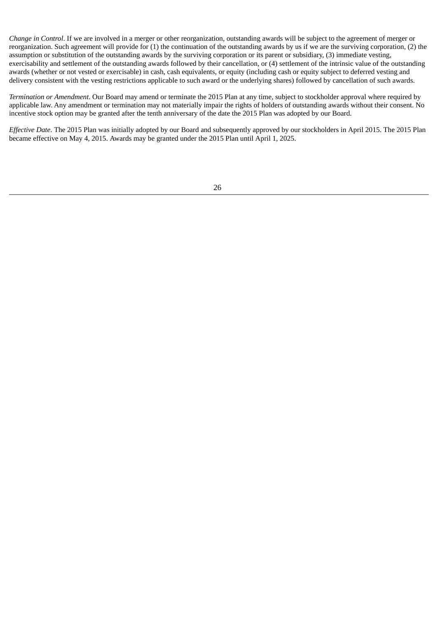*Change in Control*. If we are involved in a merger or other reorganization, outstanding awards will be subject to the agreement of merger or reorganization. Such agreement will provide for (1) the continuation of the outstanding awards by us if we are the surviving corporation, (2) the assumption or substitution of the outstanding awards by the surviving corporation or its parent or subsidiary, (3) immediate vesting, exercisability and settlement of the outstanding awards followed by their cancellation, or (4) settlement of the intrinsic value of the outstanding awards (whether or not vested or exercisable) in cash, cash equivalents, or equity (including cash or equity subject to deferred vesting and delivery consistent with the vesting restrictions applicable to such award or the underlying shares) followed by cancellation of such awards.

*Termination or Amendment*. Our Board may amend or terminate the 2015 Plan at any time, subject to stockholder approval where required by applicable law. Any amendment or termination may not materially impair the rights of holders of outstanding awards without their consent. No incentive stock option may be granted after the tenth anniversary of the date the 2015 Plan was adopted by our Board.

*Effective Date*. The 2015 Plan was initially adopted by our Board and subsequently approved by our stockholders in April 2015. The 2015 Plan became effective on May 4, 2015. Awards may be granted under the 2015 Plan until April 1, 2025.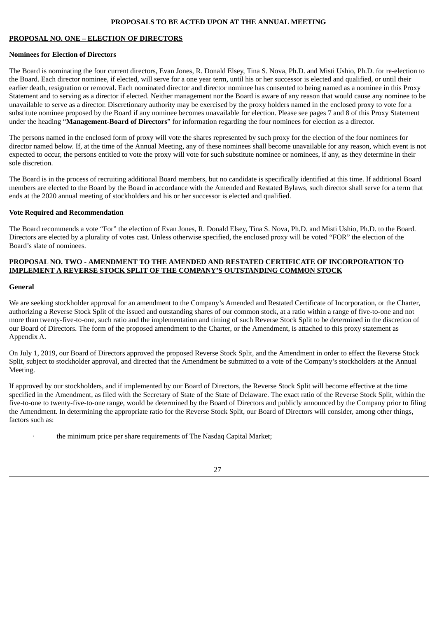# **PROPOSALS TO BE ACTED UPON AT THE ANNUAL MEETING**

# **PROPOSAL NO. ONE – ELECTION OF DIRECTORS**

# **Nominees for Election of Directors**

The Board is nominating the four current directors, Evan Jones, R. Donald Elsey, Tina S. Nova, Ph.D. and Misti Ushio, Ph.D. for re-election to the Board. Each director nominee, if elected, will serve for a one year term, until his or her successor is elected and qualified, or until their earlier death, resignation or removal. Each nominated director and director nominee has consented to being named as a nominee in this Proxy Statement and to serving as a director if elected. Neither management nor the Board is aware of any reason that would cause any nominee to be unavailable to serve as a director. Discretionary authority may be exercised by the proxy holders named in the enclosed proxy to vote for a substitute nominee proposed by the Board if any nominee becomes unavailable for election. Please see pages 7 and 8 of this Proxy Statement under the heading "**Management-Board of Directors**" for information regarding the four nominees for election as a director.

The persons named in the enclosed form of proxy will vote the shares represented by such proxy for the election of the four nominees for director named below. If, at the time of the Annual Meeting, any of these nominees shall become unavailable for any reason, which event is not expected to occur, the persons entitled to vote the proxy will vote for such substitute nominee or nominees, if any, as they determine in their sole discretion.

The Board is in the process of recruiting additional Board members, but no candidate is specifically identified at this time. If additional Board members are elected to the Board by the Board in accordance with the Amended and Restated Bylaws, such director shall serve for a term that ends at the 2020 annual meeting of stockholders and his or her successor is elected and qualified.

# **Vote Required and Recommendation**

The Board recommends a vote "For" the election of Evan Jones, R. Donald Elsey, Tina S. Nova, Ph.D. and Misti Ushio, Ph.D. to the Board. Directors are elected by a plurality of votes cast. Unless otherwise specified, the enclosed proxy will be voted "FOR" the election of the Board's slate of nominees.

# **PROPOSAL NO. TWO - AMENDMENT TO THE AMENDED AND RESTATED CERTIFICATE OF INCORPORATION TO IMPLEMENT A REVERSE STOCK SPLIT OF THE COMPANY'S OUTSTANDING COMMON STOCK**

# **General**

We are seeking stockholder approval for an amendment to the Company's Amended and Restated Certificate of Incorporation, or the Charter, authorizing a Reverse Stock Split of the issued and outstanding shares of our common stock, at a ratio within a range of five-to-one and not more than twenty-five-to-one, such ratio and the implementation and timing of such Reverse Stock Split to be determined in the discretion of our Board of Directors. The form of the proposed amendment to the Charter, or the Amendment, is attached to this proxy statement as Appendix A.

On July 1, 2019, our Board of Directors approved the proposed Reverse Stock Split, and the Amendment in order to effect the Reverse Stock Split, subject to stockholder approval, and directed that the Amendment be submitted to a vote of the Company's stockholders at the Annual Meeting.

If approved by our stockholders, and if implemented by our Board of Directors, the Reverse Stock Split will become effective at the time specified in the Amendment, as filed with the Secretary of State of the State of Delaware. The exact ratio of the Reverse Stock Split, within the five-to-one to twenty-five-to-one range, would be determined by the Board of Directors and publicly announced by the Company prior to filing the Amendment. In determining the appropriate ratio for the Reverse Stock Split, our Board of Directors will consider, among other things, factors such as:

· the minimum price per share requirements of The Nasdaq Capital Market;

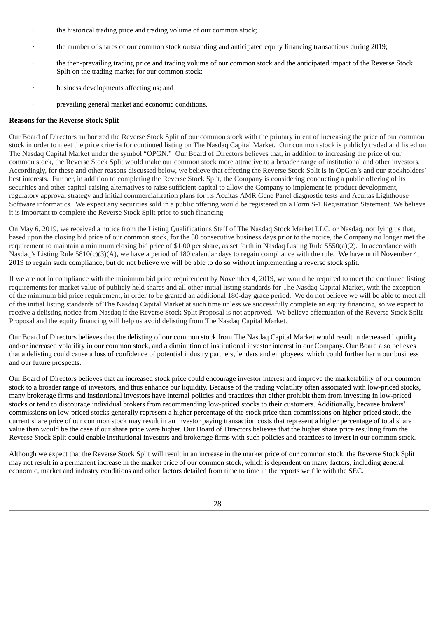- the historical trading price and trading volume of our common stock;
- · the number of shares of our common stock outstanding and anticipated equity financing transactions during 2019;
- the then-prevailing trading price and trading volume of our common stock and the anticipated impact of the Reverse Stock Split on the trading market for our common stock;
- · business developments affecting us; and
- prevailing general market and economic conditions.

#### **Reasons for the Reverse Stock Split**

Our Board of Directors authorized the Reverse Stock Split of our common stock with the primary intent of increasing the price of our common stock in order to meet the price criteria for continued listing on The Nasdaq Capital Market. Our common stock is publicly traded and listed on The Nasdaq Capital Market under the symbol "OPGN." Our Board of Directors believes that, in addition to increasing the price of our common stock, the Reverse Stock Split would make our common stock more attractive to a broader range of institutional and other investors. Accordingly, for these and other reasons discussed below, we believe that effecting the Reverse Stock Split is in OpGen's and our stockholders' best interests. Further, in addition to completing the Reverse Stock Split, the Company is considering conducting a public offering of its securities and other capital-raising alternatives to raise sufficient capital to allow the Company to implement its product development, regulatory approval strategy and initial commercialization plans for its Acuitas AMR Gene Panel diagnostic tests and Acuitas Lighthouse Software informatics. We expect any securities sold in a public offering would be registered on a Form S-1 Registration Statement. We believe it is important to complete the Reverse Stock Split prior to such financing

On May 6, 2019, we received a notice from the Listing Qualifications Staff of The Nasdaq Stock Market LLC, or Nasdaq, notifying us that, based upon the closing bid price of our common stock, for the 30 consecutive business days prior to the notice, the Company no longer met the requirement to maintain a minimum closing bid price of \$1.00 per share, as set forth in Nasdaq Listing Rule 5550(a)(2). In accordance with Nasdaq's Listing Rule 5810(c)(3)(A), we have a period of 180 calendar days to regain compliance with the rule. We have until November 4, 2019 to regain such compliance, but do not believe we will be able to do so without implementing a reverse stock split.

If we are not in compliance with the minimum bid price requirement by November 4, 2019, we would be required to meet the continued listing requirements for market value of publicly held shares and all other initial listing standards for The Nasdaq Capital Market, with the exception of the minimum bid price requirement, in order to be granted an additional 180-day grace period. We do not believe we will be able to meet all of the initial listing standards of The Nasdaq Capital Market at such time unless we successfully complete an equity financing, so we expect to receive a delisting notice from Nasdaq if the Reverse Stock Split Proposal is not approved. We believe effectuation of the Reverse Stock Split Proposal and the equity financing will help us avoid delisting from The Nasdaq Capital Market.

Our Board of Directors believes that the delisting of our common stock from The Nasdaq Capital Market would result in decreased liquidity and/or increased volatility in our common stock, and a diminution of institutional investor interest in our Company. Our Board also believes that a delisting could cause a loss of confidence of potential industry partners, lenders and employees, which could further harm our business and our future prospects.

Our Board of Directors believes that an increased stock price could encourage investor interest and improve the marketability of our common stock to a broader range of investors, and thus enhance our liquidity. Because of the trading volatility often associated with low-priced stocks, many brokerage firms and institutional investors have internal policies and practices that either prohibit them from investing in low-priced stocks or tend to discourage individual brokers from recommending low-priced stocks to their customers. Additionally, because brokers' commissions on low-priced stocks generally represent a higher percentage of the stock price than commissions on higher-priced stock, the current share price of our common stock may result in an investor paying transaction costs that represent a higher percentage of total share value than would be the case if our share price were higher. Our Board of Directors believes that the higher share price resulting from the Reverse Stock Split could enable institutional investors and brokerage firms with such policies and practices to invest in our common stock.

Although we expect that the Reverse Stock Split will result in an increase in the market price of our common stock, the Reverse Stock Split may not result in a permanent increase in the market price of our common stock, which is dependent on many factors, including general economic, market and industry conditions and other factors detailed from time to time in the reports we file with the SEC.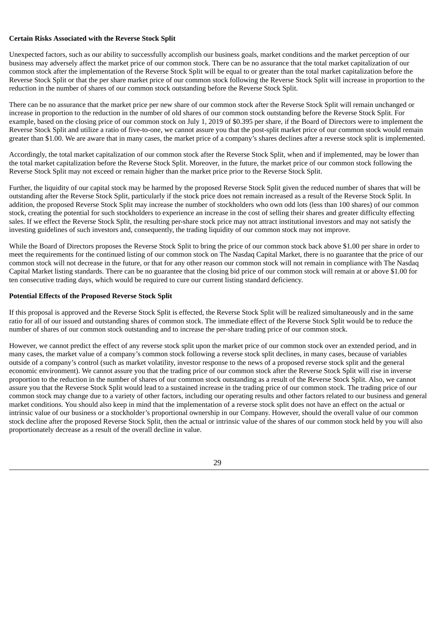# **Certain Risks Associated with the Reverse Stock Split**

Unexpected factors, such as our ability to successfully accomplish our business goals, market conditions and the market perception of our business may adversely affect the market price of our common stock. There can be no assurance that the total market capitalization of our common stock after the implementation of the Reverse Stock Split will be equal to or greater than the total market capitalization before the Reverse Stock Split or that the per share market price of our common stock following the Reverse Stock Split will increase in proportion to the reduction in the number of shares of our common stock outstanding before the Reverse Stock Split.

There can be no assurance that the market price per new share of our common stock after the Reverse Stock Split will remain unchanged or increase in proportion to the reduction in the number of old shares of our common stock outstanding before the Reverse Stock Split. For example, based on the closing price of our common stock on July 1, 2019 of \$0.395 per share, if the Board of Directors were to implement the Reverse Stock Split and utilize a ratio of five-to-one, we cannot assure you that the post-split market price of our common stock would remain greater than \$1.00. We are aware that in many cases, the market price of a company's shares declines after a reverse stock split is implemented.

Accordingly, the total market capitalization of our common stock after the Reverse Stock Split, when and if implemented, may be lower than the total market capitalization before the Reverse Stock Split. Moreover, in the future, the market price of our common stock following the Reverse Stock Split may not exceed or remain higher than the market price prior to the Reverse Stock Split.

Further, the liquidity of our capital stock may be harmed by the proposed Reverse Stock Split given the reduced number of shares that will be outstanding after the Reverse Stock Split, particularly if the stock price does not remain increased as a result of the Reverse Stock Split. In addition, the proposed Reverse Stock Split may increase the number of stockholders who own odd lots (less than 100 shares) of our common stock, creating the potential for such stockholders to experience an increase in the cost of selling their shares and greater difficulty effecting sales. If we effect the Reverse Stock Split, the resulting per-share stock price may not attract institutional investors and may not satisfy the investing guidelines of such investors and, consequently, the trading liquidity of our common stock may not improve.

While the Board of Directors proposes the Reverse Stock Split to bring the price of our common stock back above \$1.00 per share in order to meet the requirements for the continued listing of our common stock on The Nasdaq Capital Market, there is no guarantee that the price of our common stock will not decrease in the future, or that for any other reason our common stock will not remain in compliance with The Nasdaq Capital Market listing standards. There can be no guarantee that the closing bid price of our common stock will remain at or above \$1.00 for ten consecutive trading days, which would be required to cure our current listing standard deficiency.

#### **Potential Effects of the Proposed Reverse Stock Split**

If this proposal is approved and the Reverse Stock Split is effected, the Reverse Stock Split will be realized simultaneously and in the same ratio for all of our issued and outstanding shares of common stock. The immediate effect of the Reverse Stock Split would be to reduce the number of shares of our common stock outstanding and to increase the per-share trading price of our common stock.

However, we cannot predict the effect of any reverse stock split upon the market price of our common stock over an extended period, and in many cases, the market value of a company's common stock following a reverse stock split declines, in many cases, because of variables outside of a company's control (such as market volatility, investor response to the news of a proposed reverse stock split and the general economic environment). We cannot assure you that the trading price of our common stock after the Reverse Stock Split will rise in inverse proportion to the reduction in the number of shares of our common stock outstanding as a result of the Reverse Stock Split. Also, we cannot assure you that the Reverse Stock Split would lead to a sustained increase in the trading price of our common stock. The trading price of our common stock may change due to a variety of other factors, including our operating results and other factors related to our business and general market conditions. You should also keep in mind that the implementation of a reverse stock split does not have an effect on the actual or intrinsic value of our business or a stockholder's proportional ownership in our Company. However, should the overall value of our common stock decline after the proposed Reverse Stock Split, then the actual or intrinsic value of the shares of our common stock held by you will also proportionately decrease as a result of the overall decline in value.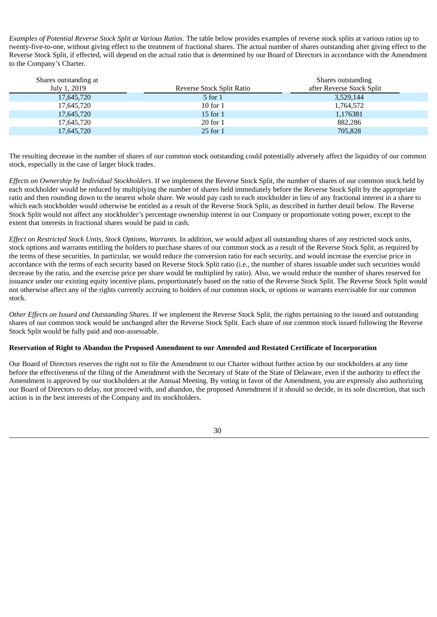*Examples of Potential Reverse Stock Split at Various Ratios*. The table below provides examples of reverse stock splits at various ratios up to twenty-five-to-one, without giving effect to the treatment of fractional shares. The actual number of shares outstanding after giving effect to the Reverse Stock Split, if effected, will depend on the actual ratio that is determined by our Board of Directors in accordance with the Amendment to the Company's Charter.

| Reverse Stock Split Ratio | Shares outstanding<br>after Reverse Stock Split |
|---------------------------|-------------------------------------------------|
| 5 for 1                   | 3,529,144                                       |
| $10$ for $1$              | 1,764,572                                       |
| $15$ for $1$              | 1,176381                                        |
| $20$ for $1$              | 882,286                                         |
| $25$ for $1$              | 705,828                                         |
|                           |                                                 |

The resulting decrease in the number of shares of our common stock outstanding could potentially adversely affect the liquidity of our common stock, especially in the case of larger block trades.

*Effects on Ownership by Individual Stockholders*. If we implement the Reverse Stock Split, the number of shares of our common stock held by each stockholder would be reduced by multiplying the number of shares held immediately before the Reverse Stock Split by the appropriate ratio and then rounding down to the nearest whole share. We would pay cash to each stockholder in lieu of any fractional interest in a share to which each stockholder would otherwise be entitled as a result of the Reverse Stock Split, as described in further detail below. The Reverse Stock Split would not affect any stockholder's percentage ownership interest in our Company or proportionate voting power, except to the extent that interests in fractional shares would be paid in cash.

*Effect on Restricted Stock Units, Stock Options, Warrants*. In addition, we would adjust all outstanding shares of any restricted stock units, stock options and warrants entitling the holders to purchase shares of our common stock as a result of the Reverse Stock Split, as required by the terms of these securities. In particular, we would reduce the conversion ratio for each security, and would increase the exercise price in accordance with the terms of each security based on Reverse Stock Split ratio (i.e., the number of shares issuable under such securities would decrease by the ratio, and the exercise price per share would be multiplied by ratio). Also, we would reduce the number of shares reserved for issuance under our existing equity incentive plans, proportionately based on the ratio of the Reverse Stock Split. The Reverse Stock Split would not otherwise affect any of the rights currently accruing to holders of our common stock, or options or warrants exercisable for our common stock.

*Other Effects on Issued and Outstanding Shares*. If we implement the Reverse Stock Split, the rights pertaining to the issued and outstanding shares of our common stock would be unchanged after the Reverse Stock Split. Each share of our common stock issued following the Reverse Stock Split would be fully paid and non-assessable.

# **Reservation of Right to Abandon the Proposed Amendment to our Amended and Restated Certificate of Incorporation**

Our Board of Directors reserves the right not to file the Amendment to our Charter without further action by our stockholders at any time before the effectiveness of the filing of the Amendment with the Secretary of State of the State of Delaware, even if the authority to effect the Amendment is approved by our stockholders at the Annual Meeting. By voting in favor of the Amendment, you are expressly also authorizing our Board of Directors to delay, not proceed with, and abandon, the proposed Amendment if it should so decide, in its sole discretion, that such action is in the best interests of the Company and its stockholders.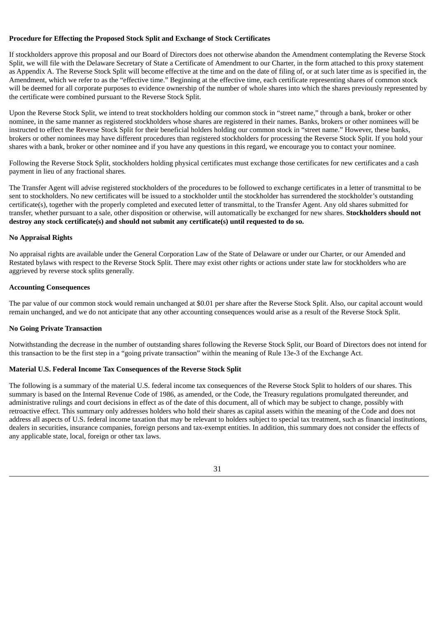#### **Procedure for Effecting the Proposed Stock Split and Exchange of Stock Certificates**

If stockholders approve this proposal and our Board of Directors does not otherwise abandon the Amendment contemplating the Reverse Stock Split, we will file with the Delaware Secretary of State a Certificate of Amendment to our Charter, in the form attached to this proxy statement as Appendix A. The Reverse Stock Split will become effective at the time and on the date of filing of, or at such later time as is specified in, the Amendment, which we refer to as the "effective time." Beginning at the effective time, each certificate representing shares of common stock will be deemed for all corporate purposes to evidence ownership of the number of whole shares into which the shares previously represented by the certificate were combined pursuant to the Reverse Stock Split.

Upon the Reverse Stock Split, we intend to treat stockholders holding our common stock in "street name," through a bank, broker or other nominee, in the same manner as registered stockholders whose shares are registered in their names. Banks, brokers or other nominees will be instructed to effect the Reverse Stock Split for their beneficial holders holding our common stock in "street name." However, these banks, brokers or other nominees may have different procedures than registered stockholders for processing the Reverse Stock Split. If you hold your shares with a bank, broker or other nominee and if you have any questions in this regard, we encourage you to contact your nominee.

Following the Reverse Stock Split, stockholders holding physical certificates must exchange those certificates for new certificates and a cash payment in lieu of any fractional shares.

The Transfer Agent will advise registered stockholders of the procedures to be followed to exchange certificates in a letter of transmittal to be sent to stockholders. No new certificates will be issued to a stockholder until the stockholder has surrendered the stockholder's outstanding certificate(s), together with the properly completed and executed letter of transmittal, to the Transfer Agent. Any old shares submitted for transfer, whether pursuant to a sale, other disposition or otherwise, will automatically be exchanged for new shares. **Stockholders should not destroy any stock certificate(s) and should not submit any certificate(s) until requested to do so.**

#### **No Appraisal Rights**

No appraisal rights are available under the General Corporation Law of the State of Delaware or under our Charter, or our Amended and Restated bylaws with respect to the Reverse Stock Split. There may exist other rights or actions under state law for stockholders who are aggrieved by reverse stock splits generally.

#### **Accounting Consequences**

The par value of our common stock would remain unchanged at \$0.01 per share after the Reverse Stock Split. Also, our capital account would remain unchanged, and we do not anticipate that any other accounting consequences would arise as a result of the Reverse Stock Split.

# **No Going Private Transaction**

Notwithstanding the decrease in the number of outstanding shares following the Reverse Stock Split, our Board of Directors does not intend for this transaction to be the first step in a "going private transaction" within the meaning of Rule 13e-3 of the Exchange Act.

#### **Material U.S. Federal Income Tax Consequences of the Reverse Stock Split**

The following is a summary of the material U.S. federal income tax consequences of the Reverse Stock Split to holders of our shares. This summary is based on the Internal Revenue Code of 1986, as amended, or the Code, the Treasury regulations promulgated thereunder, and administrative rulings and court decisions in effect as of the date of this document, all of which may be subject to change, possibly with retroactive effect. This summary only addresses holders who hold their shares as capital assets within the meaning of the Code and does not address all aspects of U.S. federal income taxation that may be relevant to holders subject to special tax treatment, such as financial institutions, dealers in securities, insurance companies, foreign persons and tax-exempt entities. In addition, this summary does not consider the effects of any applicable state, local, foreign or other tax laws.

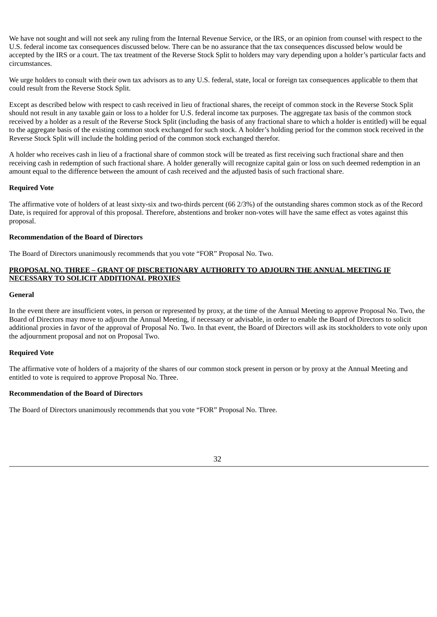We have not sought and will not seek any ruling from the Internal Revenue Service, or the IRS, or an opinion from counsel with respect to the U.S. federal income tax consequences discussed below. There can be no assurance that the tax consequences discussed below would be accepted by the IRS or a court. The tax treatment of the Reverse Stock Split to holders may vary depending upon a holder's particular facts and circumstances.

We urge holders to consult with their own tax advisors as to any U.S. federal, state, local or foreign tax consequences applicable to them that could result from the Reverse Stock Split.

Except as described below with respect to cash received in lieu of fractional shares, the receipt of common stock in the Reverse Stock Split should not result in any taxable gain or loss to a holder for U.S. federal income tax purposes. The aggregate tax basis of the common stock received by a holder as a result of the Reverse Stock Split (including the basis of any fractional share to which a holder is entitled) will be equal to the aggregate basis of the existing common stock exchanged for such stock. A holder's holding period for the common stock received in the Reverse Stock Split will include the holding period of the common stock exchanged therefor.

A holder who receives cash in lieu of a fractional share of common stock will be treated as first receiving such fractional share and then receiving cash in redemption of such fractional share. A holder generally will recognize capital gain or loss on such deemed redemption in an amount equal to the difference between the amount of cash received and the adjusted basis of such fractional share.

# **Required Vote**

The affirmative vote of holders of at least sixty-six and two-thirds percent (66 2/3%) of the outstanding shares common stock as of the Record Date, is required for approval of this proposal. Therefore, abstentions and broker non-votes will have the same effect as votes against this proposal.

## **Recommendation of the Board of Directors**

The Board of Directors unanimously recommends that you vote "FOR" Proposal No. Two.

# **PROPOSAL NO. THREE – GRANT OF DISCRETIONARY AUTHORITY TO ADJOURN THE ANNUAL MEETING IF NECESSARY TO SOLICIT ADDITIONAL PROXIES**

# **General**

In the event there are insufficient votes, in person or represented by proxy, at the time of the Annual Meeting to approve Proposal No. Two, the Board of Directors may move to adjourn the Annual Meeting, if necessary or advisable, in order to enable the Board of Directors to solicit additional proxies in favor of the approval of Proposal No. Two. In that event, the Board of Directors will ask its stockholders to vote only upon the adjournment proposal and not on Proposal Two.

# **Required Vote**

The affirmative vote of holders of a majority of the shares of our common stock present in person or by proxy at the Annual Meeting and entitled to vote is required to approve Proposal No. Three.

# **Recommendation of the Board of Directors**

The Board of Directors unanimously recommends that you vote "FOR" Proposal No. Three.

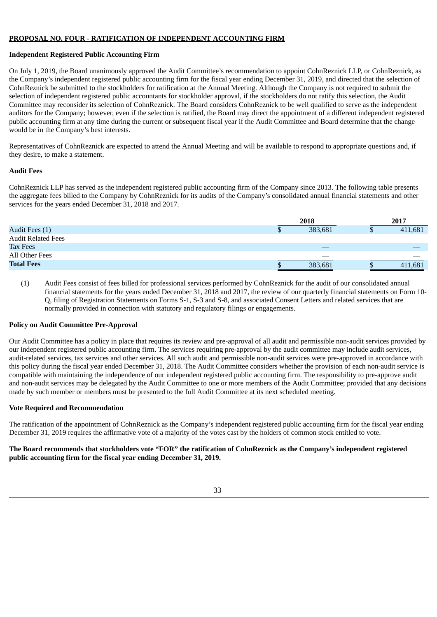# **PROPOSAL NO. FOUR - RATIFICATION OF INDEPENDENT ACCOUNTING FIRM**

# **Independent Registered Public Accounting Firm**

On July 1, 2019, the Board unanimously approved the Audit Committee's recommendation to appoint CohnReznick LLP, or CohnReznick, as the Company's independent registered public accounting firm for the fiscal year ending December 31, 2019, and directed that the selection of CohnReznick be submitted to the stockholders for ratification at the Annual Meeting. Although the Company is not required to submit the selection of independent registered public accountants for stockholder approval, if the stockholders do not ratify this selection, the Audit Committee may reconsider its selection of CohnReznick. The Board considers CohnReznick to be well qualified to serve as the independent auditors for the Company; however, even if the selection is ratified, the Board may direct the appointment of a different independent registered public accounting firm at any time during the current or subsequent fiscal year if the Audit Committee and Board determine that the change would be in the Company's best interests.

Representatives of CohnReznick are expected to attend the Annual Meeting and will be available to respond to appropriate questions and, if they desire, to make a statement.

# **Audit Fees**

CohnReznick LLP has served as the independent registered public accounting firm of the Company since 2013. The following table presents the aggregate fees billed to the Company by CohnReznick for its audits of the Company's consolidated annual financial statements and other services for the years ended December 31, 2018 and 2017.

|                           |   | 2018                     | 2017    |
|---------------------------|---|--------------------------|---------|
| Audit Fees (1)            | Φ | 383,681                  | 411,681 |
| <b>Audit Related Fees</b> |   |                          |         |
| Tax Fees                  |   | $\overline{\phantom{a}}$ |         |
| All Other Fees            |   | $\overline{\phantom{a}}$ |         |
| <b>Total Fees</b>         |   | 383,681                  | 411,681 |

(1) Audit Fees consist of fees billed for professional services performed by CohnReznick for the audit of our consolidated annual financial statements for the years ended December 31, 2018 and 2017, the review of our quarterly financial statements on Form 10- Q, filing of Registration Statements on Forms S-1, S-3 and S-8, and associated Consent Letters and related services that are normally provided in connection with statutory and regulatory filings or engagements.

# **Policy on Audit Committee Pre-Approval**

Our Audit Committee has a policy in place that requires its review and pre-approval of all audit and permissible non-audit services provided by our independent registered public accounting firm. The services requiring pre-approval by the audit committee may include audit services, audit-related services, tax services and other services. All such audit and permissible non-audit services were pre-approved in accordance with this policy during the fiscal year ended December 31, 2018. The Audit Committee considers whether the provision of each non-audit service is compatible with maintaining the independence of our independent registered public accounting firm. The responsibility to pre-approve audit and non-audit services may be delegated by the Audit Committee to one or more members of the Audit Committee; provided that any decisions made by such member or members must be presented to the full Audit Committee at its next scheduled meeting.

# **Vote Required and Recommendation**

The ratification of the appointment of CohnReznick as the Company's independent registered public accounting firm for the fiscal year ending December 31, 2019 requires the affirmative vote of a majority of the votes cast by the holders of common stock entitled to vote.

# The Board recommends that stockholders vote "FOR" the ratification of CohnReznick as the Company's independent registered **public accounting firm for the fiscal year ending December 31, 2019.**

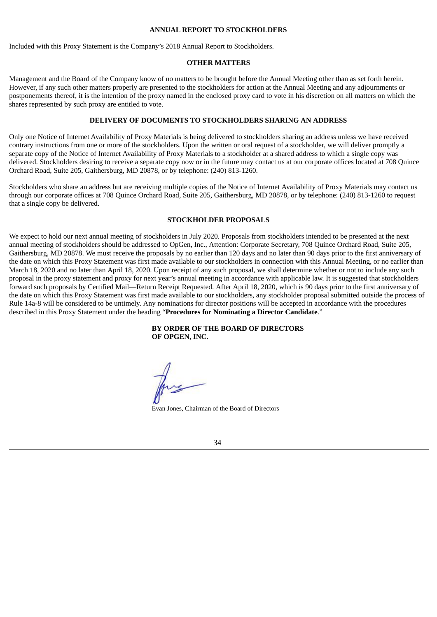#### **ANNUAL REPORT TO STOCKHOLDERS**

Included with this Proxy Statement is the Company's 2018 Annual Report to Stockholders.

# **OTHER MATTERS**

Management and the Board of the Company know of no matters to be brought before the Annual Meeting other than as set forth herein. However, if any such other matters properly are presented to the stockholders for action at the Annual Meeting and any adjournments or postponements thereof, it is the intention of the proxy named in the enclosed proxy card to vote in his discretion on all matters on which the shares represented by such proxy are entitled to vote.

#### **DELIVERY OF DOCUMENTS TO STOCKHOLDERS SHARING AN ADDRESS**

Only one Notice of Internet Availability of Proxy Materials is being delivered to stockholders sharing an address unless we have received contrary instructions from one or more of the stockholders. Upon the written or oral request of a stockholder, we will deliver promptly a separate copy of the Notice of Internet Availability of Proxy Materials to a stockholder at a shared address to which a single copy was delivered. Stockholders desiring to receive a separate copy now or in the future may contact us at our corporate offices located at 708 Quince Orchard Road, Suite 205, Gaithersburg, MD 20878, or by telephone: (240) 813-1260.

Stockholders who share an address but are receiving multiple copies of the Notice of Internet Availability of Proxy Materials may contact us through our corporate offices at 708 Quince Orchard Road, Suite 205, Gaithersburg, MD 20878, or by telephone: (240) 813-1260 to request that a single copy be delivered.

#### **STOCKHOLDER PROPOSALS**

We expect to hold our next annual meeting of stockholders in July 2020. Proposals from stockholders intended to be presented at the next annual meeting of stockholders should be addressed to OpGen, Inc., Attention: Corporate Secretary, 708 Quince Orchard Road, Suite 205, Gaithersburg, MD 20878. We must receive the proposals by no earlier than 120 days and no later than 90 days prior to the first anniversary of the date on which this Proxy Statement was first made available to our stockholders in connection with this Annual Meeting, or no earlier than March 18, 2020 and no later than April 18, 2020. Upon receipt of any such proposal, we shall determine whether or not to include any such proposal in the proxy statement and proxy for next year's annual meeting in accordance with applicable law. It is suggested that stockholders forward such proposals by Certified Mail—Return Receipt Requested. After April 18, 2020, which is 90 days prior to the first anniversary of the date on which this Proxy Statement was first made available to our stockholders, any stockholder proposal submitted outside the process of Rule 14a-8 will be considered to be untimely. Any nominations for director positions will be accepted in accordance with the procedures described in this Proxy Statement under the heading "**Procedures for Nominating a Director Candidate**."

> **BY ORDER OF THE BOARD OF DIRECTORS OF OPGEN, INC.**

Evan Jones, Chairman of the Board of Directors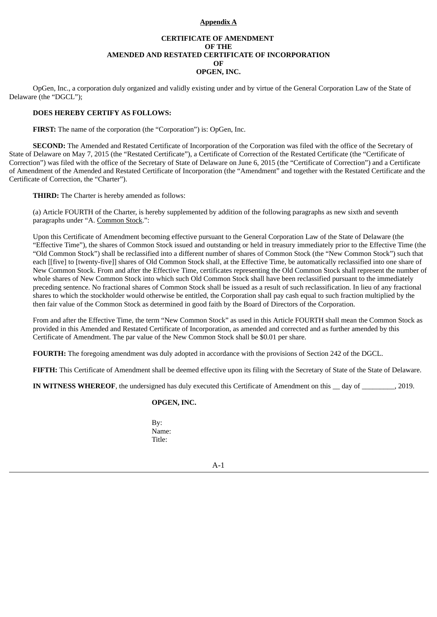# **Appendix A**

# **CERTIFICATE OF AMENDMENT OF THE AMENDED AND RESTATED CERTIFICATE OF INCORPORATION OF OPGEN, INC.**

OpGen, Inc., a corporation duly organized and validly existing under and by virtue of the General Corporation Law of the State of Delaware (the "DGCL");

#### **DOES HEREBY CERTIFY AS FOLLOWS:**

**FIRST:** The name of the corporation (the "Corporation") is: OpGen, Inc.

**SECOND:** The Amended and Restated Certificate of Incorporation of the Corporation was filed with the office of the Secretary of State of Delaware on May 7, 2015 (the "Restated Certificate"), a Certificate of Correction of the Restated Certificate (the "Certificate of Correction") was filed with the office of the Secretary of State of Delaware on June 6, 2015 (the "Certificate of Correction") and a Certificate of Amendment of the Amended and Restated Certificate of Incorporation (the "Amendment" and together with the Restated Certificate and the Certificate of Correction, the "Charter").

**THIRD:** The Charter is hereby amended as follows:

(a) Article FOURTH of the Charter, is hereby supplemented by addition of the following paragraphs as new sixth and seventh paragraphs under "A. Common Stock.":

Upon this Certificate of Amendment becoming effective pursuant to the General Corporation Law of the State of Delaware (the "Effective Time"), the shares of Common Stock issued and outstanding or held in treasury immediately prior to the Effective Time (the "Old Common Stock") shall be reclassified into a different number of shares of Common Stock (the "New Common Stock") such that each [[five] to [twenty-five]] shares of Old Common Stock shall, at the Effective Time, be automatically reclassified into one share of New Common Stock. From and after the Effective Time, certificates representing the Old Common Stock shall represent the number of whole shares of New Common Stock into which such Old Common Stock shall have been reclassified pursuant to the immediately preceding sentence. No fractional shares of Common Stock shall be issued as a result of such reclassification. In lieu of any fractional shares to which the stockholder would otherwise be entitled, the Corporation shall pay cash equal to such fraction multiplied by the then fair value of the Common Stock as determined in good faith by the Board of Directors of the Corporation.

From and after the Effective Time, the term "New Common Stock" as used in this Article FOURTH shall mean the Common Stock as provided in this Amended and Restated Certificate of Incorporation, as amended and corrected and as further amended by this Certificate of Amendment. The par value of the New Common Stock shall be \$0.01 per share.

**FOURTH:** The foregoing amendment was duly adopted in accordance with the provisions of Section 242 of the DGCL.

**FIFTH:** This Certificate of Amendment shall be deemed effective upon its filing with the Secretary of State of the State of Delaware.

**IN WITNESS WHEREOF**, the undersigned has duly executed this Certificate of Amendment on this \_\_ day of \_\_\_\_\_\_\_\_\_, 2019.

# **OPGEN, INC.**

By: Name: Title:

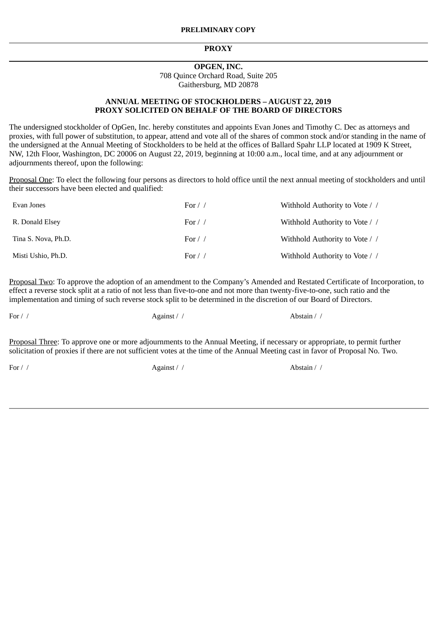# **PROXY**

# **OPGEN, INC.** 708 Quince Orchard Road, Suite 205 Gaithersburg, MD 20878

# **ANNUAL MEETING OF STOCKHOLDERS – AUGUST 22, 2019 PROXY SOLICITED ON BEHALF OF THE BOARD OF DIRECTORS**

The undersigned stockholder of OpGen, Inc. hereby constitutes and appoints Evan Jones and Timothy C. Dec as attorneys and proxies, with full power of substitution, to appear, attend and vote all of the shares of common stock and/or standing in the name of the undersigned at the Annual Meeting of Stockholders to be held at the offices of Ballard Spahr LLP located at 1909 K Street, NW, 12th Floor, Washington, DC 20006 on August 22, 2019, beginning at 10:00 a.m., local time, and at any adjournment or adjournments thereof, upon the following:

Proposal One: To elect the following four persons as directors to hold office until the next annual meeting of stockholders and until their successors have been elected and qualified:

| Evan Jones          | For $/$ /  | Withhold Authority to Vote / / |
|---------------------|------------|--------------------------------|
| R. Donald Elsey     | For $/$ /  | Withhold Authority to Vote / / |
| Tina S. Nova, Ph.D. | For $\ell$ | Withhold Authority to Vote / / |
| Misti Ushio, Ph.D.  | For $\ell$ | Withhold Authority to Vote / / |

Proposal Two: To approve the adoption of an amendment to the Company's Amended and Restated Certificate of Incorporation, to effect a reverse stock split at a ratio of not less than five-to-one and not more than twenty-five-to-one, such ratio and the implementation and timing of such reverse stock split to be determined in the discretion of our Board of Directors.

For / / Against / / Abstain / /

Proposal Three: To approve one or more adjournments to the Annual Meeting, if necessary or appropriate, to permit further solicitation of proxies if there are not sufficient votes at the time of the Annual Meeting cast in favor of Proposal No. Two.

For / / Against / / Abstain / /